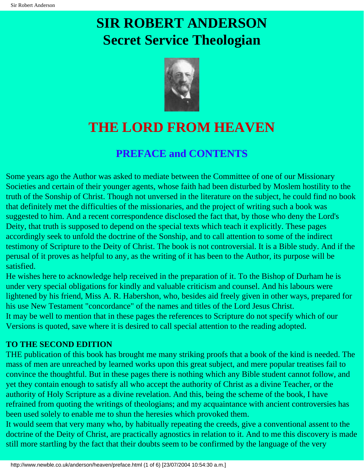

# **THE LORD FROM HEAVEN**

## **PREFACE and CONTENTS**

Some years ago the Author was asked to mediate between the Committee of one of our Missionary Societies and certain of their younger agents, whose faith had been disturbed by Moslem hostility to the truth of the Sonship of Christ. Though not unversed in the literature on the subject, he could find no book that definitely met the difficulties of the missionaries, and the project of writing such a book was suggested to him. And a recent correspondence disclosed the fact that, by those who deny the Lord's Deity, that truth is supposed to depend on the special texts which teach it explicitly. These pages accordingly seek to unfold the doctrine of the Sonship, and to call attention to some of the indirect testimony of Scripture to the Deity of Christ. The book is not controversial. It is a Bible study. And if the perusal of it proves as helpful to any, as the writing of it has been to the Author, its purpose will be satisfied.

He wishes here to acknowledge help received in the preparation of it. To the Bishop of Durham he is under very special obligations for kindly and valuable criticism and counsel. And his labours were lightened by his friend, Miss A. R. Habershon, who, besides aid freely given in other ways, prepared for his use New Testament "concordance" of the names and titles of the Lord Jesus Christ. It may be well to mention that in these pages the references to Scripture do not specify which of our Versions is quoted, save where it is desired to call special attention to the reading adopted.

### **TO THE SECOND EDITION**

THE publication of this book has brought me many striking proofs that a book of the kind is needed. The mass of men are unreached by learned works upon this great subject, and mere popular treatises fail to convince the thoughtful. But in these pages there is nothing which any Bible student cannot follow, and yet they contain enough to satisfy all who accept the authority of Christ as a divine Teacher, or the authority of Holy Scripture as a divine revelation. And this, being the scheme of the book, I have refrained from quoting the writings of theologians; and my acquaintance with ancient controversies has been used solely to enable me to shun the heresies which provoked them.

It would seem that very many who, by habitually repeating the creeds, give a conventional assent to the doctrine of the Deity of Christ, are practically agnostics in relation to it. And to me this discovery is made still more startling by the fact that their doubts seem to be confirmed by the language of the very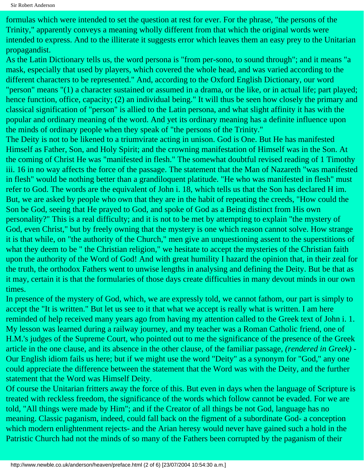formulas which were intended to set the question at rest for ever. For the phrase, "the persons of the Trinity," apparently conveys a meaning wholly different from that which the original words were intended to express. And to the illiterate it suggests error which leaves them an easy prey to the Unitarian propagandist.

As the Latin Dictionary tells us, the word persona is "from per-sono, to sound through"; and it means "a mask, especially that used by players, which covered the whole head, and was varied according to the different characters to be represented." And, according to the Oxford English Dictionary, our word "person" means "(1) a character sustained or assumed in a drama, or the like, or in actual life; part played; hence function, office, capacity; (2) an individual being." It will thus be seen how closely the primary and classical signification of "person" is allied to the Latin persona, and what slight affinity it has with the popular and ordinary meaning of the word. And yet its ordinary meaning has a definite influence upon the minds of ordinary people when they speak of "the persons of the Trinity."

The Deity is not to be likened to a triumvirate acting in unison. God is One. But He has manifested Himself as Father, Son, and Holy Spirit; and the crowning manifestation of Himself was in the Son. At the coming of Christ He was "manifested in flesh." The somewhat doubtful revised reading of 1 Timothy iii. 16 in no way affects the force of the passage. The statement that the Man of Nazareth "was manifested in flesh" would be nothing better than a grandiloquent platitude. "He who was manifested in flesh" must refer to God. The words are the equivalent of John i. 18, which tells us that the Son has declared H im. But, we are asked by people who own that they are in the habit of repeating the creeds, "How could the Son be God, seeing that He prayed to God, and spoke of God as a Being distinct from His own personality?" This is a real difficulty; and it is not to be met by attempting to explain "the mystery of God, even Christ," but by freely owning that the mystery is one which reason cannot solve. How strange it is that while, on "the authority of the Church," men give an unquestioning assent to the superstitions of what they deem to be " the Christian religion," we hesitate to accept the mysteries of the Christian faith upon the authority of the Word of God! And with great humility I hazard the opinion that, in their zeal for the truth, the orthodox Fathers went to unwise lengths in analysing and defining the Deity. But be that as it may, certain it is that the formularies of those days create difficulties in many devout minds in our own times.

In presence of the mystery of God, which, we are expressly told, we cannot fathom, our part is simply to accept the "It is written." But let us see to it that what we accept is really what is written. I am here reminded of help received many years ago from having my attention called to the Greek text of John i. 1. My lesson was learned during a railway journey, and my teacher was a Roman Catholic friend, one of H.M.'s judges of the Supreme Court, who pointed out to me the significance of the presence of the Greek article in the one clause, and its absence in the other clause, of the familiar passage, *(rendered in Greek) -*  Our English idiom fails us here; but if we might use the word "Deity" as a synonym for "God," any one could appreciate the difference between the statement that the Word was with the Deity, and the further statement that the Word was Himself Deity.

Of course the Unitarian fritters away the force of this. But even in days when the language of Scripture is treated with reckless freedom, the significance of the words which follow cannot be evaded. For we are told, "All things were made by Him"; and if the Creator of all things be not God, language has no meaning. Classic paganism, indeed, could fall back on the figment of a subordinate God- a conception which modern enlightenment rejects- and the Arian heresy would never have gained such a hold in the Patristic Church had not the minds of so many of the Fathers been corrupted by the paganism of their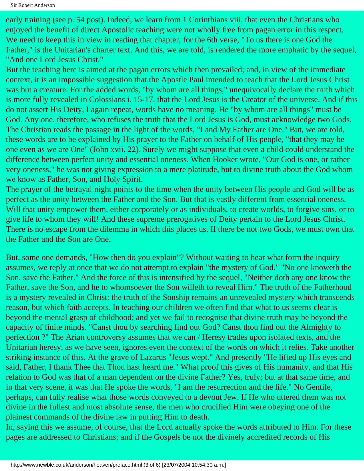early training (see p. 54 post). Indeed, we learn from 1 Corinthians viii. that even the Christians who enjoyed the benefit of direct Apostolic teaching were not wholly free from pagan error in this respect. We need to keep this in view in reading that chapter, for the 6th verse, "To us there is one God the Father," is the Unitarian's charter text. And this, we are told, is rendered the more emphatic by the sequel, "And one Lord Jesus Christ."

But the teaching here is aimed at the pagan errors which then prevailed; and, in view of the immediate context, it is an impossible suggestion that the Apostle Paul intended to teach that the Lord Jesus Christ was but a creature. For the added words, "by whom are all things," unequivocally declare the truth which is more fully revealed in Colossians i. 15-17, that the Lord Jesus is the Creator of the universe. And if this do not assert His Deity, I again repeat, words have no meaning. He "by whom are all things" must be God. Any one, therefore, who refuses the truth that the Lord Jesus is God, must acknowledge two Gods. The Christian reads the passage in the light of the words, "I and My Father are One." But, we are told, these words are to be explained by His prayer to the Father on behalf of His people, "that they may be one even as we are One" (John xvii. 22). Surely we might suppose that even a child could understand the difference between perfect unity and essential oneness. When Hooker wrote, "Our God is one, or rather very oneness," he was not giving expression to a mere platitude, but to divine truth about the God whom we know as Father, Son, and Holy Spirit.

The prayer of the betrayal night points to the time when the unity between His people and God will be as perfect as the unity between the Father and the Son. But that is vastly different from essential oneness. Will that unity empower them, either corporately or as individuals, to create worlds, to forgive sins, or to give life to whom they will! And these supreme prerogatives of Deity pertain to the Lord Jesus Christ. There is no escape from the dilemma in which this places us. If there be not two Gods, we must own that the Father and the Son are One.

But, some one demands, "How then do you explain"? Without waiting to hear what form the inquiry assumes, we reply at once that we do not attempt to explain "the mystery of God." "No one knoweth the Son, save the Father." And the force of this is intensified by the sequel, "Neither doth any one know the Father, save the Son, and he to whomsoever the Son willeth to reveal Him." The truth of the Fatherhood is a mystery revealed in Christ: the truth of the Sonship remains an unrevealed mystery which transcends reason, but which faith accepts. In teaching our children we often find that what to us seems clear is beyond the mental grasp of childhood; and yet we fail to recognise that divine truth may be beyond the capacity of finite minds. "Canst thou by searching find out God? Canst thou find out the Almighty to perfection ?" The Arian controversy assumes that we can / Heresy trades upon isolated texts, and the Unitarian heresy, as we have seen, ignores even the context of the words on which it relies. Take another striking instance of this. At the grave of Lazarus "Jesus wept." And presently "He lifted up His eyes and said, Father, I thank Thee that Thou hast heard me." What proof this gives of His humanity, and that His relation to God was that of a man dependent on the divine Father? Yes, truly; but at that same time, and in that very scene, it was that He spoke the words, "I am the resurrection and the life." No Gentile, perhaps, can fully realise what those words conveyed to a devout Jew. If He who uttered them was not divine in the fullest and most absolute sense, the men who crucified Him were obeying one of the plainest commands of the divine law in putting Him to death.

In, saying this we assume, of course, that the Lord actually spoke the words attributed to Him. For these pages are addressed to Christians; and if the Gospels be not the divinely accredited records of His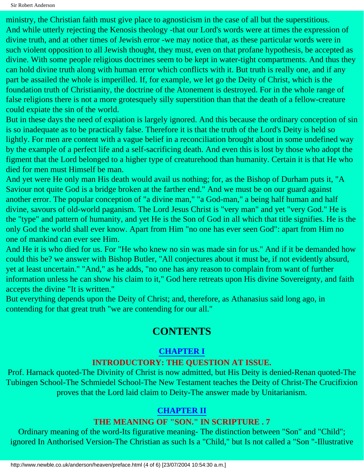Sir Robert Anderson

ministry, the Christian faith must give place to agnosticism in the case of all but the superstitious. And while utterly rejecting the Kenosis theology -that our Lord's words were at times the expression of divine truth, and at other times of Jewish error -we may notice that, as these particular words were in such violent opposition to all Jewish thought, they must, even on that profane hypothesis, be accepted as divine. With some people religious doctrines seem to be kept in water-tight compartments. And thus they can hold divine truth along with human error which conflicts with it. But truth is really one, and if any part be assailed the whole is imperilled. If, for example, we let go the Deity of Christ, which is the foundation truth of Christianity, the doctrine of the Atonement is destroyed. For in the whole range of false religions there is not a more grotesquely silly superstition than that the death of a fellow-creature could expiate the sin of the world.

But in these days the need of expiation is largely ignored. And this because the ordinary conception of sin is so inadequate as to be practically false. Therefore it is that the truth of the Lord's Deity is held so lightly. For men are content with a vague belief in a reconciliation brought about in some undefined way by the example of a perfect life and a self-sacrificing death. And even this is lost by those who adopt the figment that the Lord belonged to a higher type of creaturehood than humanity. Certain it is that He who died for men must Himself be man.

And yet were He only man His death would avail us nothing; for, as the Bishop of Durham puts it, "A Saviour not quite God is a bridge broken at the farther end." And we must be on our guard against another error. The popular conception of "a divine man," "a God-man," a being half human and half divine, savours of old-world paganism. The Lord Jesus Christ is "very man" and yet "very God." He is the "type" and pattern of humanity, and yet He is the Son of God in all which that title signifies. He is the only God the world shall ever know. Apart from Him "no one has ever seen God": apart from Him no one of mankind can ever see Him.

And He it is who died for us. For "He who knew no sin was made sin for us." And if it be demanded how could this be? we answer with Bishop Butler, "All conjectures about it must be, if not evidently absurd, yet at least uncertain." "And," as he adds, "no one has any reason to complain from want of further information unless he can show his claim to it," God here retreats upon His divine Sovereignty, and faith accepts the divine "It is written."

But everything depends upon the Deity of Christ; and, therefore, as Athanasius said long ago, in contending for that great truth "we are contending for our all."

## **CONTENTS**

### **[CHAPTER I](#page-6-0)**

### **INTRODUCTORY: THE QUESTION AT ISSUE.**

Prof. Harnack quoted-The Divinity of Christ is now admitted, but His Deity is denied-Renan quoted-The Tubingen School-The Schmiedel School-The New Testament teaches the Deity of Christ-The Crucifixion proves that the Lord laid claim to Deity-The answer made by Unitarianism.

### **[CHAPTER II](#page-9-0)**

### **THE MEANING OF "SON." IN SCRIPTURE . 7**

Ordinary meaning of the word-Its figurative meaning- The distinction between "Son" and "Child"; ignored In Anthorised Version-The Christian as such Is a "Child," but Is not called a "Son "-Illustrative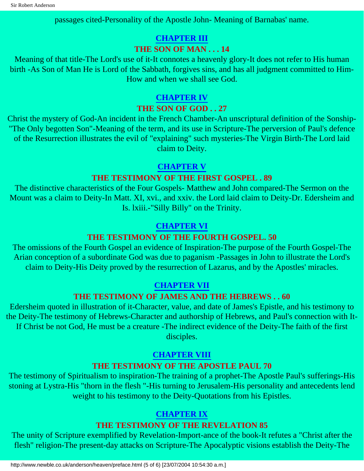passages cited-Personality of the Apostle John- Meaning of Barnabas' name.

## **[CHAPTER III](#page-12-0) THE SON OF MAN . . . 14**

Meaning of that title-The Lord's use of it-It connotes a heavenly glory-It does not refer to His human birth -As Son of Man He is Lord of the Sabbath, forgives sins, and has all judgment committed to Him-How and when we shall see God.

### **[CHAPTER IV](#page-17-0)**

### **THE SON OF GOD . . 27**

Christ the mystery of God-An incident in the French Chamber-An unscriptural definition of the Sonship- "The Only begotten Son"-Meaning of the term, and its use in Scripture-The perversion of Paul's defence of the Resurrection illustrates the evil of "explaining" such mysteries-The Virgin Birth-The Lord laid claim to Deity.

### **[CHAPTER V](#page-21-0)**

### **THE TESTIMONY OF THE FIRST GOSPEL . 89**

The distinctive characteristics of the Four Gospels- Matthew and John compared-The Sermon on the Mount was a claim to Deity-In Matt. XI, xvi., and xxiv. the Lord laid claim to Deity-Dr. Edersheim and Is. lxiii.-"Silly Billy" on the Trinity.

## **[CHAPTER VI](#page-25-0)**

### **THE TESTIMONY OF THE FOURTH GOSPEL. 50**

The omissions of the Fourth Gospel an evidence of Inspiration-The purpose of the Fourth Gospel-The Arian conception of a subordinate God was due to paganism -Passages in John to illustrate the Lord's claim to Deity-His Deity proved by the resurrection of Lazarus, and by the Apostles' miracles.

## **[CHAPTER VII](#page-29-0)**

### **THE TESTIMONY OF JAMES AND THE HEBREWS . . 60**

Edersheim quoted in illustration of it-Character, value, and date of James's Epistle, and his testimony to the Deity-The testimony of Hebrews-Character and authorship of Hebrews, and Paul's connection with It-If Christ be not God, He must be a creature -The indirect evidence of the Deity-The faith of the first disciples.

## **[CHAPTER VIII](#page-33-0)**

### **THE TESTIMONY OF THE APOSTLE PAUL 70**

The testimony of Spiritualism to inspiration-The training of a prophet-The Apostle Paul's sufferings-His stoning at Lystra-His "thorn in the flesh "-His turning to Jerusalem-His personality and antecedents lend weight to his testimony to the Deity-Quotations from his Epistles.

## **[CHAPTER IX](#page-38-0)**

## **THE TESTIMONY OF THE REVELATION 85**

The unity of Scripture exemplified by Revelation-Import-ance of the book-It refutes a "Christ after the flesh" religion-The present-day attacks on Scripture-The Apocalyptic visions establish the Deity-The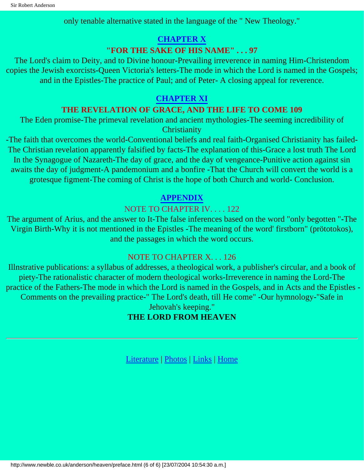only tenable alternative stated in the language of the " New Theology."

### **[CHAPTER X](#page-42-0) "FOR THE SAKE OF HIS NAME" . . . 97**

The Lord's claim to Deity, and to Divine honour-Prevailing irreverence in naming Him-Christendom copies the Jewish exorcists-Queen Victoria's letters-The mode in which the Lord is named in the Gospels; and in the Epistles-The practice of Paul; and of Peter- A closing appeal for reverence.

### **[CHAPTER XI](#page-47-0)**

#### **THE REVELATION OF GRACE, AND THE LIFE TO COME 109**

The Eden promise-The primeval revelation and ancient mythologies-The seeming incredibility of **Christianity** 

-The faith that overcomes the world-Conventional beliefs and real faith-Organised Christianity has failed-The Christian revelation apparently falsified by facts-The explanation of this-Grace a lost truth The Lord In the Synagogue of Nazareth-The day of grace, and the day of vengeance-Punitive action against sin awaits the day of judgment-A pandemonium and a bonfire -That the Church will convert the world is a grotesque figment-The coming of Christ is the hope of both Church and world- Conclusion.

### **[APPENDIX](#page-52-0)**

### NOTE TO CHAPTER IV. . . . 122

The argument of Arius, and the answer to It-The false inferences based on the word "only begotten "-The Virgin Birth-Why it is not mentioned in the Epistles -The meaning of the word' firstborn" (prötotokos), and the passages in which the word occurs.

### NOTE TO CHAPTER X. . . 126

Illnstrative publications: a syllabus of addresses, a theological work, a publisher's circular, and a book of piety-The rationalistic character of modern theological works-Irreverence in naming the Lord-The practice of the Fathers-The mode in which the Lord is named in the Gospels, and in Acts and the Epistles - Comments on the prevailing practice-" The Lord's death, till He come" -Our hymnology-"Safe in Jehovah's keeping."

# **THE LORD FROM HEAVEN**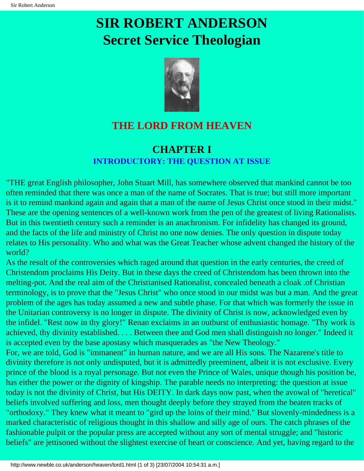

# <span id="page-6-0"></span>**THE LORD FROM HEAVEN**

## **CHAPTER I INTRODUCTORY: THE QUESTION AT ISSUE**

"THE great English philosopher, John Stuart Mill, has somewhere observed that mankind cannot be too often reminded that there was once a man of the name of Socrates. That is true; but still more important is it to remind mankind again and again that a man of the name of Jesus Christ once stood in their midst." These are the opening sentences of a well-known work from the pen of the greatest of living Rationalists. But in this twentieth century such a reminder is an anachronism. For infidelity has changed its ground, and the facts of the life and ministry of Christ no one now denies. The only question in dispute today relates to His personality. Who and what was the Great Teacher whose advent changed the history of the world?

As the result of the controversies which raged around that question in the early centuries, the creed of Christendom proclaims His Deity. But in these days the creed of Christendom has been thrown into the melting-pot. And the real aim of the Christianised Rationalist, concealed beneath a cloak .of Christian terminology, is to prove that the "Jesus Christ" who once stood in our midst was but a man. And the great problem of the ages has today assumed a new and subtle phase. For that which was formerly the issue in the Unitarian controversy is no longer in dispute. The divinity of Christ is now, acknowledged even by the infidel. "Rest now in thy glory!" Renan exclaims in an outburst of enthusiastic homage. "Thy work is achieved, thy divinity established. . . . Between thee and God men shall distinguish no longer." Indeed it is accepted even by the base apostasy which masquerades as "the New Theology."

For, we are told, God is "immanent" in human nature, and we are all His sons. The Nazarene's title to divinity therefore is not only undisputed, but it is admittedly preeminent, albeit it is not exclusive. Every prince of the blood is a royal personage. But not even the Prince of Wales, unique though his position be, has either the power or the dignity of kingship. The parable needs no interpreting: the question at issue today is not the divinity of Christ, but His DEITY. In dark days now past, when the avowal of "heretical" beliefs involved suffering and loss, men thought deeply before they strayed from the beaten tracks of "orthodoxy." They knew what it meant to "gird up the loins of their mind." But slovenly-mindedness is a marked characteristic of religious thought in this shallow and silly age of ours. The catch phrases of the fashionable pulpit or the popular press are accepted without any sort of mental struggle; and "historic beliefs" are jettisoned without the slightest exercise of heart or conscience. And yet, having regard to the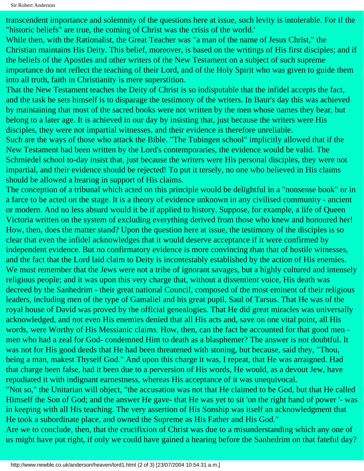transcendent importance and solemnity of the questions here at issue, such levity is intolerable. For if the "historic beliefs" are true, the coming of Christ was the crisis of the world.'

While then, with the Rationalist, the Great Teacher was "a man of the name of Jesus Christ," the Christian maintains His Deity. This belief, moreover, is based on the writings of His first disciples; and if the beliefs of the Apostles and other writers of the New Testament on a subject of such supreme importance do not reflect the teaching of their Lord, and of the Holy Spirit who was given to guide them into all truth, faith in Christianity is mere superstition.

That the New Testament teaches the Deity of Christ is so indisputable that the infidel accepts the fact, and the task he sets himself is to disparage the testimony of the writers. In Baur's day this was achieved by maintaining that most of the sacred books were not written by the men whose names they bear, but belong to a later age. It is achieved in our day by insisting that, just because the writers were His disciples, they were not impartial witnesses, and their evidence is therefore unreliable.

Such are the ways of those who attack the Bible. "The Tubingen school" implicitly allowed that if the New Testament had been written by the Lord's contemporaries, the evidence would be valid. The Schmiedel school to-day insist that, just because the writers were His personal disciples, they were not impartial, and their evidence should be rejected! To put it tersely, no one who believed in His claims should be allowed a hearing in support of His claims.

The conception of a tribunal which acted on this principle would be delightful in a "nonsense book" or in a farce to be acted on the stage. It is a theory of evidence unknown in any civilised community - ancient or modern. And no less absurd would it be if applied to history. Suppose, for example, a life of Queen Victoria written on the system of excluding everything derived from those who knew and honoured her! How, then, does the matter stand? Upon the question here at issue, the testimony of the disciples is so clear that even the infidel acknowledges that it would deserve acceptance if it were confirmed by independent evidence. But no confirmatory evidence is more convincing than that of hostile witnesses, and the fact that the Lord laid claim to Deity is incontestably established by the action of His enemies. We must remember that the Jews were not a tribe of ignorant savages, but a highly cultured and intensely religious people; and it was upon this very charge that, without a dissentient voice, His death was decreed by the Sanhedrim - their great national Council, composed of the most eminent of their religious leaders, including men of the type of Gamaliel and his great pupil, Saul of Tarsus. That He was of the royal house of David was proved by the official genealogies. That He did great miracles was universally acknowledged, and not even His enemies denied that all His acts and, save on one vital point, all His words, were Worthy of His Messianic claims. How, then, can the fact be accounted for that good men men who had a zeal for God- condemned Him to death as a blasphemer? The answer is not doubtful. It was not for His good deeds that He had been threatened with stoning, but because, said they, "Thou, being a man, makest Thyself God." And upon this charge it was, I repeat, that He was arraigned. Had that charge been false, had it been due to a perversion of His words, He would, as a devout Jew, have repudiated it with indignant earnestness, whereas His acceptance of it was unequivocal.

"Not so," the Unitarian will object, "the accusation was not that He claimed to be God, but that He called Himself the Son of God; and the answer He gave- that He was yet to sit 'on the right hand of power '- was in keeping with all His teaching. The very assertion of His Sonship was itself an acknowledgment that He took a subordinate place, and owned the Supreme as His Father and His God."

Are we to conclude, then, that the crucifixion of Christ was due to a misunderstanding which any one of us might have put right, if only we could have gained a hearing before the Sanhedrim on that fateful day?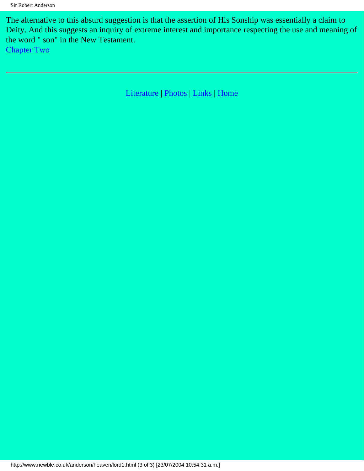The alternative to this absurd suggestion is that the assertion of His Sonship was essentially a claim to Deity. And this suggests an inquiry of extreme interest and importance respecting the use and meaning of the word " son" in the New Testament. [Chapter Two](#page-9-0)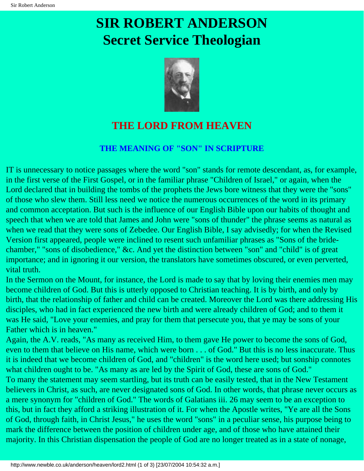

# <span id="page-9-0"></span>**THE LORD FROM HEAVEN**

### **THE MEANING OF "SON" IN SCRIPTURE**

IT is unnecessary to notice passages where the word "son" stands for remote descendant, as, for example, in the first verse of the First Gospel, or in the familiar phrase "Children of Israel," or again, when the Lord declared that in building the tombs of the prophets the Jews bore witness that they were the "sons" of those who slew them. Still less need we notice the numerous occurrences of the word in its primary and common acceptation. But such is the influence of our English Bible upon our habits of thought and speech that when we are told that James and John were "sons of thunder" the phrase seems as natural as when we read that they were sons of Zebedee. Our English Bible, I say advisedly; for when the Revised Version first appeared, people were inclined to resent such unfamiliar phrases as "Sons of the bridechamber," "sons of disobedience," &c. And yet the distinction between "son" and "child" is of great importance; and in ignoring it our version, the translators have sometimes obscured, or even perverted, vital truth.

In the Sermon on the Mount, for instance, the Lord is made to say that by loving their enemies men may become children of God. But this is utterly opposed to Christian teaching. It is by birth, and only by birth, that the relationship of father and child can be created. Moreover the Lord was there addressing His disciples, who had in fact experienced the new birth and were already children of God; and to them it was He said, "Love your enemies, and pray for them that persecute you, that ye may be sons of your Father which is in heaven."

Again, the A.V. reads, "As many as received Him, to them gave He power to become the sons of God, even to them that believe on His name, which were born . . . of God." But this is no less inaccurate. Thus it is indeed that we become children of God, and "children" is the word here used; but sonship connotes what children ought to be. "As many as are led by the Spirit of God, these are sons of God."

To many the statement may seem startling, but its truth can be easily tested, that in the New Testament believers in Christ, as such, are never designated sons of God. In other words, that phrase never occurs as a mere synonym for "children of God." The words of Galatians iii. 26 may seem to be an exception to this, but in fact they afford a striking illustration of it. For when the Apostle writes, "Ye are all the Sons of God, through faith, in Christ Jesus," he uses the word "sons" in a peculiar sense, his purpose being to mark the difference between the position of children under age, and of those who have attained their majority. In this Christian dispensation the people of God are no longer treated as in a state of nonage,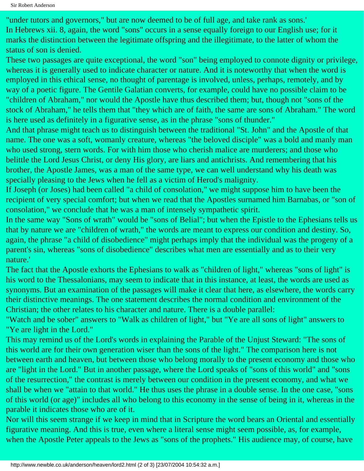"under tutors and governors," but are now deemed to be of full age, and take rank as sons.' In Hebrews xii. 8, again, the word "sons" occurs in a sense equally foreign to our English use; for it marks the distinction between the legitimate offspring and the illegitimate, to the latter of whom the status of son is denied.

These two passages are quite exceptional, the word "son" being employed to connote dignity or privilege, whereas it is generally used to indicate character or nature. And it is noteworthy that when the word is employed in this ethical sense, no thought of parentage is involved, unless, perhaps, remotely, and by way of a poetic figure. The Gentile Galatian converts, for example, could have no possible claim to be "children of Abraham," nor would the Apostle have thus described them; but, though not "sons of the stock of Abraham," he tells them that "they which are of faith, the same are sons of Abraham." The word is here used as definitely in a figurative sense, as in the phrase "sons of thunder."

And that phrase might teach us to distinguish between the traditional "St. John" and the Apostle of that name. The one was a soft, womanly creature, whereas "the beloved disciple" was a bold and manly man who used strong, stern words. For with him those who cherish malice are murderers; and those who belittle the Lord Jesus Christ, or deny His glory, are liars and antichrists. And remembering that his brother, the Apostle James, was a man of the same type, we can well understand why his death was specially pleasing to the Jews when he fell as a victim of Herod's malignity.

If Joseph (or Joses) had been called "a child of consolation," we might suppose him to have been the recipient of very special comfort; but when we read that the Apostles surnamed him Barnabas, or "son of consolation," we conclude that he was a man of intensely sympathetic spirit.

In the same way "Sons of wrath" would be "sons of Belial"; but when the Epistle to the Ephesians tells us that by nature we are "children of wrath," the words are meant to express our condition and destiny. So, again, the phrase "a child of disobedience" might perhaps imply that the individual was the progeny of a parent's sin, whereas "sons of disobedience" describes what men are essentially and as to their very nature.'

The fact that the Apostle exhorts the Ephesians to walk as "children of light," whereas "sons of light" is his word to the Thessalonians, may seem to indicate that in this instance, at least, the words are used as synonyms. But an examination of the passages will make it clear that here, as elsewhere, the words carry their distinctive meanings. The one statement describes the normal condition and environment of the Christian; the other relates to his character and nature. There is a double parallel:

"Watch and be sober" answers to "Walk as children of light," but "Ye are all sons of light" answers to "Ye are light in the Lord."

This may remind us of the Lord's words in explaining the Parable of the Unjust Steward: "The sons of this world are for their own generation wiser than the sons of the light." The comparison here is not between earth and heaven, but between those who belong morally to the present economy and those who are "light in the Lord." But in another passage, where the Lord speaks of "sons of this world" and "sons of the resurrection," the contrast is merely between our condition in the present economy, and what we shall be when we "attain to that world." He thus uses the phrase in a double sense. In the one case, "sons of this world (or age)" includes all who belong to this economy in the sense of being in it, whereas in the parable it indicates those who are of it.

Nor will this seem strange if we keep in mind that in Scripture the word bears an Oriental and essentially figurative meaning. And this is true, even where a literal sense might seem possible, as, for example, when the Apostle Peter appeals to the Jews as "sons of the prophets." His audience may, of course, have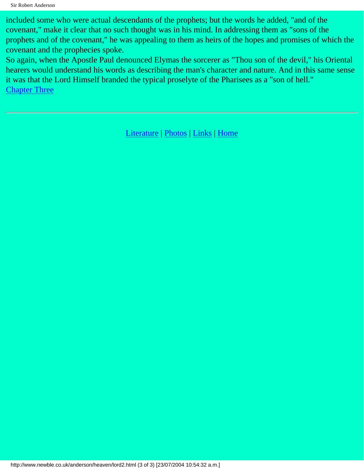included some who were actual descendants of the prophets; but the words he added, "and of the covenant," make it clear that no such thought was in his mind. In addressing them as "sons of the prophets and of the covenant," he was appealing to them as heirs of the hopes and promises of which the covenant and the prophecies spoke.

So again, when the Apostle Paul denounced Elymas the sorcerer as "Thou son of the devil," his Oriental hearers would understand his words as describing the man's character and nature. And in this same sense it was that the Lord Himself branded the typical proselyte of the Pharisees as a "son of hell." [Chapter Three](#page-12-0)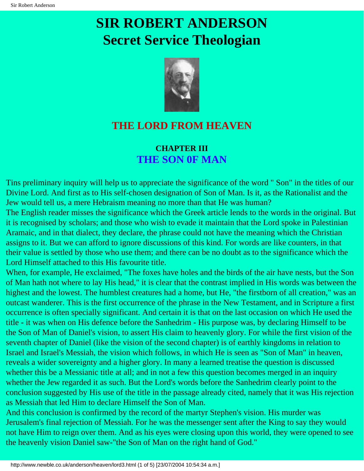

## <span id="page-12-0"></span>**THE LORD FROM HEAVEN**

## **CHAPTER III THE SON 0F MAN**

Tins preliminary inquiry will help us to appreciate the significance of the word " Son" in the titles of our Divine Lord. And first as to His self-chosen designation of Son of Man. Is it, as the Rationalist and the Jew would tell us, a mere Hebraism meaning no more than that He was human?

The English reader misses the significance which the Greek article lends to the words in the original. But it is recognised by scholars; and those who wish to evade it maintain that the Lord spoke in Palestinian Aramaic, and in that dialect, they declare, the phrase could not have the meaning which the Christian assigns to it. But we can afford to ignore discussions of this kind. For words are like counters, in that their value is settled by those who use them; and there can be no doubt as to the significance which the Lord Himself attached to this His favourite title.

When, for example, He exclaimed, "The foxes have holes and the birds of the air have nests, but the Son of Man hath not where to lay His head," it is clear that the contrast implied in His words was between the highest and the lowest. The humblest creatures had a home, but He, "the firstborn of all creation," was an outcast wanderer. This is the first occurrence of the phrase in the New Testament, and in Scripture a first occurrence is often specially significant. And certain it is that on the last occasion on which He used the title - it was when on His defence before the Sanhedrim - His purpose was, by declaring Himself to be the Son of Man of Daniel's vision, to assert His claim to heavenly glory. For while the first vision of the seventh chapter of Daniel (like the vision of the second chapter) is of earthly kingdoms in relation to Israel and Israel's Messiah, the vision which follows, in which He is seen as "Son of Man" in heaven, reveals a wider sovereignty and a higher glory. In many a learned treatise the question is discussed whether this be a Messianic title at all; and in not a few this question becomes merged in an inquiry whether the Jew regarded it as such. But the Lord's words before the Sanhedrim clearly point to the conclusion suggested by His use of the title in the passage already cited, namely that it was His rejection as Messiah that led Him to declare Himself the Son of Man.

And this conclusion is confirmed by the record of the martyr Stephen's vision. His murder was Jerusalem's final rejection of Messiah. For he was the messenger sent after the King to say they would not have Him to reign over them. And as his eyes were closing upon this world, they were opened to see the heavenly vision Daniel saw-"the Son of Man on the right hand of God."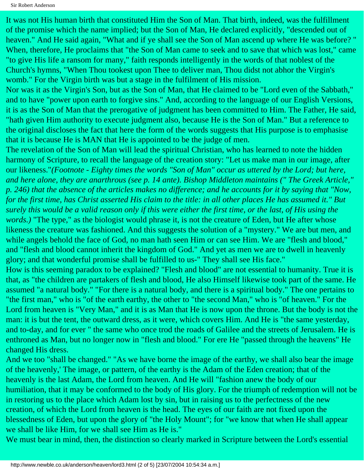Sir Robert Anderson

It was not His human birth that constituted Him the Son of Man. That birth, indeed, was the fulfillment of the promise which the name implied; but the Son of Man, He declared explicitly, "descended out of heaven." And He said again, "What and if ye shall see the Son of Man ascend up where He was before? " When, therefore, He proclaims that "the Son of Man came to seek and to save that which was lost," came "to give His life a ransom for many," faith responds intelligently in the words of that noblest of the Church's hymns, "When Thou tookest upon Thee to deliver man, Thou didst not abhor the Virgin's womb." For the Virgin birth was but a stage in the fulfilment of His mission.

Nor was it as the Virgin's Son, but as the Son of Man, that He claimed to be "Lord even of the Sabbath," and to have "power upon earth to forgive sins." And, according to the language of our English Versions, it is as the Son of Man that the prerogative of judgment has been committed to Him. The Father, He said, "hath given Him authority to execute judgment also, because He is the Son of Man." But a reference to the original discloses the fact that here the form of the words suggests that His purpose is to emphasise that it is because He is MAN that He is appointed to be the judge of men.

The revelation of the Son of Man will lead the spiritual Christian, who has learned to note the hidden harmony of Scripture, to recall the language of the creation story: "Let us make man in our image, after our likeness."*(Footnote - Eighty times the words "Son of Man" occur as uttered by the Lord; but here, and here alone, they are anarthrous (see p. 14 ante). Bishop Middleton maintains (" The Greek Article," p. 246) that the absence of the articles makes no difference; and he accounts for it by saying that "Now, for the first time, has Christ asserted His claim to the title: in all other places He has assumed it." But surely this would be a valid reason only if this were either the first time, or the last, of His using the words.*) "The type," as the biologist would phrase it, is not the creature of Eden, but He after whose likeness the creature was fashioned. And this suggests the solution of a "mystery." We are but men, and while angels behold the face of God, no man hath seen Him or can see Him. We are "flesh and blood," and "flesh and blood cannot inherit the kingdom of God." And yet as men we are to dwell in heavenly glory; and that wonderful promise shall be fulfilled to us-" They shall see His face."

How is this seeming paradox to be explained? "Flesh and blood" are not essential to humanity. True it is that, as "the children are partakers of flesh and blood, He also Himself likewise took part of the same. He assumed "a natural body." "For there is a natural body, and there is a spiritual body." The one pertains to "the first man," who is "of the earth earthy, the other to "the second Man," who is "of heaven." For the Lord from heaven is "Very Man," and it is as Man that He is now upon the throne. But the body is not the man: it is but the tent, the outward dress, as it were, which covers Him. And He is "the same yesterday, and to-day, and for ever " the same who once trod the roads of Galilee and the streets of Jerusalem. He is enthroned as Man, but no longer now in "flesh and blood." For ere He "passed through the heavens" He changed His dress.

And we too "shall be changed." "As we have borne the image of the earthy, we shall also bear the image of the heavenly,' The image, or pattern, of the earthy is the Adam of the Eden creation; that of the heavenly is the last Adam, the Lord from heaven. And He will "fashion anew the body of our humiliation, that it may be conformed to the body of His glory. For the triumph of redemption will not be in restoring us to the place which Adam lost by sin, but in raising us to the perfectness of the new creation, of which the Lord from heaven is the head. The eyes of our faith are not fixed upon the blessedness of Eden, but upon the glory of "the Holy Mount"; for "we know that when He shall appear we shall be like Him, for we shall see Him as He is."

We must bear in mind, then, the distinction so clearly marked in Scripture between the Lord's essential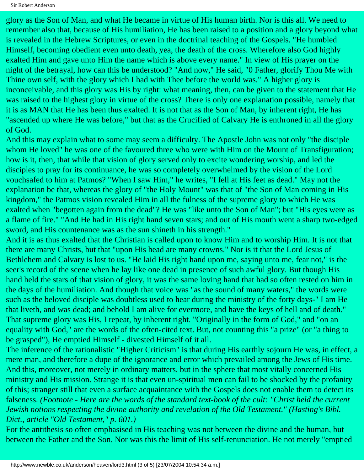Sir Robert Anderson

glory as the Son of Man, and what He became in virtue of His human birth. Nor is this all. We need to remember also that, because of His humiliation, He has been raised to a position and a glory beyond what is revealed in the Hebrew Scriptures, or even in the doctrinal teaching of the Gospels. "He humbled Himself, becoming obedient even unto death, yea, the death of the cross. Wherefore also God highly exalted Him and gave unto Him the name which is above every name." In view of His prayer on the night of the betrayal, how can this be understood? "And now," He said, "0 Father, glorify Thou Me with Thine own self, with the glory which I had with Thee before the world was." A higher glory is inconceivable, and this glory was His by right: what meaning, then, can be given to the statement that He was raised to the highest glory in virtue of the cross? There is only one explanation possible, namely that it is as MAN that He has been thus exalted. It is not that as the Son of Man, by inherent right, He has "ascended up where He was before," but that as the Crucified of Calvary He is enthroned in all the glory of God.

And this may explain what to some may seem a difficulty. The Apostle John was not only "the disciple whom He loved" he was one of the favoured three who were with Him on the Mount of Transfiguration; how is it, then, that while that vision of glory served only to excite wondering worship, and led the disciples to pray for its continuance, he was so completely overwhelmed by the vision of the Lord vouchsafed to him at Patmos? "When I saw Him," he writes, "I fell at His feet as dead." May not the explanation be that, whereas the glory of "the Holy Mount" was that of "the Son of Man coming in His kingdom," the Patmos vision revealed Him in all the fulness of the supreme glory to which He was exalted when "begotten again from the dead"? He was "like unto the Son of Man"; but "His eyes were as a flame of fire." "And He had in His right hand seven stars; and out of His mouth went a sharp two-edged sword, and His countenance was as the sun shineth in his strength."

And it is as thus exalted that the Christian is called upon to know Him and to worship Him. It is not that there are many Christs, but that "upon His head are many crowns." Nor is it that the Lord Jesus of Bethlehem and Calvary is lost to us. "He laid His right hand upon me, saying unto me, fear not," is the seer's record of the scene when he lay like one dead in presence of such awful glory. But though His hand held the stars of that vision of glory, it was the same loving hand that had so often rested on him in the days of the humiliation. And though that voice was "as the sound of many waters," the words were such as the beloved disciple was doubtless used to hear during the ministry of the forty days-" I am He that liveth, and was dead; and behold I am alive for evermore, and have the keys of hell and of death." That supreme glory was His, I repeat, by inherent right. "Originally in the form of God," and "on an equality with God," are the words of the often-cited text. But, not counting this "a prize" (or "a thing to be grasped"), He emptied Himself - divested Himself of it all.

The inference of the rationalistic "Higher Criticism" is that during His earthly sojourn He was, in effect, a mere man, and therefore a dupe of the ignorance and error which prevailed among the Jews of His time. And this, moreover, not merely in ordinary matters, but in the sphere that most vitally concerned His ministry and His mission. Strange it is that even un-spiritual men can fail to be shocked by the profanity of this; stranger still that even a surface acquaintance with the Gospels does not enable them to detect its falseness. *(Footnote - Here are the words of the standard text-book of the cult: "Christ held the current Jewish notions respecting the divine authority and revelation of the Old Testament." (Hasting's Bibl. Dict., article "Old Testament," p. 601.)*

For the antithesis so often emphasised in His teaching was not between the divine and the human, but between the Father and the Son. Nor was this the limit of His self-renunciation. He not merely "emptied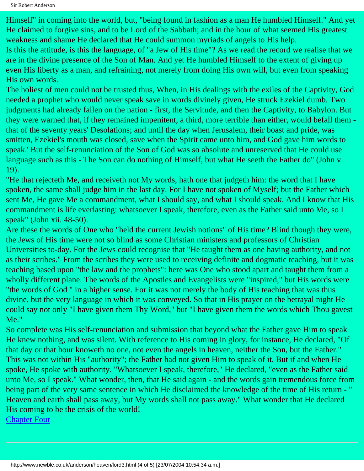Sir Robert Anderson

Himself" in coming into the world, but, "being found in fashion as a man He humbled Himself." And yet He claimed to forgive sins, and to be Lord of the Sabbath; and in the hour of what seemed His greatest weakness and shame He declared that He could summon myriads of angels to His help. Is this the attitude, is this the language, of "a Jew of His time"? As we read the record we realise that we are in the divine presence of the Son of Man. And yet He humbled Himself to the extent of giving up even His liberty as a man, and refraining, not merely from doing His own will, but even from speaking His own words.

The holiest of men could not be trusted thus, When, in His dealings with the exiles of the Captivity, God needed a prophet who would never speak save in words divinely given, He struck Ezekiel dumb. Two judgments had already fallen on the nation - first, the Servitude, and then the Captivity, to Babylon. But they were warned that, if they remained impenitent, a third, more terrible than either, would befall them that of the seventy years' Desolations; and until the day when Jerusalem, their boast and pride, was smitten, Ezekiel's mouth was closed, save when the Spirit came unto him, and God gave him words to speak.' But the self-renunciation of the Son of God was so absolute and unreserved that He could use language such as this - The Son can do nothing of Himself, but what He seeth the Father do" (John v. 19).

"He that rejecteth Me, and receiveth not My words, hath one that judgeth him: the word that I have spoken, the same shall judge him in the last day. For I have not spoken of Myself; but the Father which sent Me, He gave Me a commandment, what I should say, and what I should speak. And I know that His commandment is life everlasting: whatsoever I speak, therefore, even as the Father said unto Me, so I speak" (John xii. 48-50).

Are these the words of One who "held the current Jewish notions" of His time? Blind though they were, the Jews of His time were not so blind as some Christian ministers and professors of Christian Universities to-day. For the Jews could recognise that "He taught them as one having authority, and not as their scribes." From the scribes they were used to receiving definite and dogmatic teaching, but it was teaching based upon "the law and the prophets": here was One who stood apart and taught them from a wholly different plane. The words of the Apostles and Evangelists were "inspired," but His words were "the words of God " in a higher sense. For it was not merely the body of His teaching that was thus divine, but the very language in which it was conveyed. So that in His prayer on the betrayal night He could say not only "I have given them Thy Word," but "I have given them the words which Thou gavest Me."

So complete was His self-renunciation and submission that beyond what the Father gave Him to speak He knew nothing, and was silent. With reference to His coming in glory, for instance, He declared, "Of that day or that hour knoweth no one, not even the angels in heaven, neither the Son, but the Father." This was not within His "authority"; the Father had not given Him to speak of it. But if and when He spoke, He spoke with authority. "Whatsoever I speak, therefore," He declared, "even as the Father said unto Me, so I speak." What wonder, then, that He said again - and the words gain tremendous force from being part of the very same sentence in which He disclaimed the knowledge of the time of His return - " Heaven and earth shall pass away, but My words shall not pass away." What wonder that He declared His coming to be the crisis of the world!

[Chapter Four](#page-17-0)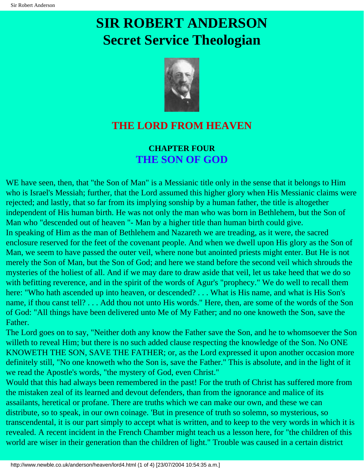

## <span id="page-17-0"></span>**THE LORD FROM HEAVEN**

## **CHAPTER FOUR THE SON OF GOD**

WE have seen, then, that "the Son of Man" is a Messianic title only in the sense that it belongs to Him who is Israel's Messiah; further, that the Lord assumed this higher glory when His Messianic claims were rejected; and lastly, that so far from its implying sonship by a human father, the title is altogether independent of His human birth. He was not only the man who was born in Bethlehem, but the Son of Man who "descended out of heaven "- Man by a higher title than human birth could give. In speaking of Him as the man of Bethlehem and Nazareth we are treading, as it were, the sacred enclosure reserved for the feet of the covenant people. And when we dwell upon His glory as the Son of Man, we seem to have passed the outer veil, where none but anointed priests might enter. But He is not merely the Son of Man, but the Son of God; and here we stand before the second veil which shrouds the mysteries of the holiest of all. And if we may dare to draw aside that veil, let us take heed that we do so with befitting reverence, and in the spirit of the words of Agur's "prophecy." We do well to recall them here: "Who hath ascended up into heaven, or descended? . . . What is His name, and what is His Son's name, if thou canst tell? . . . Add thou not unto His words." Here, then, are some of the words of the Son of God: "All things have been delivered unto Me of My Father; and no one knoweth the Son, save the Father.

The Lord goes on to say, "Neither doth any know the Father save the Son, and he to whomsoever the Son willeth to reveal Him; but there is no such added clause respecting the knowledge of the Son. No ONE KNOWETH THE SON, SAVE THE FATHER; or, as the Lord expressed it upon another occasion more definitely still, "No one knoweth who the Son is, save the Father." This is absolute, and in the light of it we read the Apostle's words, "the mystery of God, even Christ."

Would that this had always been remembered in the past! For the truth of Christ has suffered more from the mistaken zeal of its learned and devout defenders, than from the ignorance and malice of its assailants, heretical or profane. There are truths which we can make our own, and these we can distribute, so to speak, in our own coinage. 'But in presence of truth so solemn, so mysterious, so transcendental, it is our part simply to accept what is written, and to keep to the very words in which it is revealed. A recent incident in the French Chamber might teach us a lesson here, for "the children of this world are wiser in their generation than the children of light." Trouble was caused in a certain district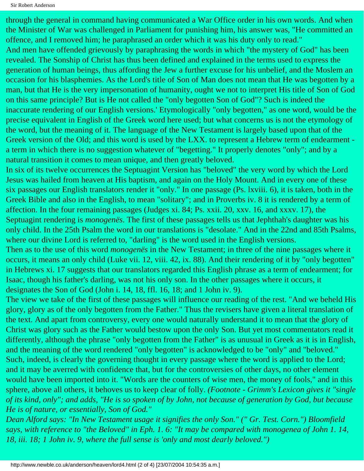through the general in command having communicated a War Office order in his own words. And when the Minister of War was challenged in Parliament for punishing him, his answer was, "He committed an offence, and I removed him; he paraphrased an order which it was his duty only to read."

And men have offended grievously by paraphrasing the words in which "the mystery of God" has been revealed. The Sonship of Christ has thus been defined and explained in the terms used to express the generation of human beings, thus affording the Jew a further excuse for his unbelief, and the Moslem an occasion for his blasphemies. As the Lord's title of Son of Man does not mean that He was begotten by a man, but that He is the very impersonation of humanity, ought we not to interpret His title of Son of God on this same principle? But is He not called the "only begotten Son of God"? Such is indeed the inaccurate rendering of our English versions.' Etymologically "only begotten," as one word, would be the precise equivalent in English of the Greek word here used; but what concerns us is not the etymology of the word, but the meaning of it. The language of the New Testament is largely based upon that of the Greek version of the Old; and this word is used by the LXX. to represent a Hebrew term of endearment a term in which there is no suggestion whatever of "begetting." It properly denotes "only"; and by a natural transition it comes to mean unique, and then greatly beloved.

In six of its twelve occurrences the Septuagint Version has "beloved" the very word by which the Lord Jesus was hailed from heaven at His baptism, and again on the Holy Mount. And in every one of these six passages our English translators render it "only." In one passage (Ps. lxviii. 6), it is taken, both in the Greek Bible and also in the English, to mean "solitary"; and in Proverbs iv. 8 it is rendered by a term of affection. In the four remaining passages (Judges xi. 84; Ps. xxii. 20, xxv. 16, and xxxv. 17), the Septuagint rendering is *monogenës*. The first of these passages tells us that Jephthah's daughter was his only child. In the 25th Psalm the word in our translations is "desolate." And in the 22nd and 85th Psalms, where our divine Lord is referred to, "darling" is the word used in the English versions.

Then as to the use of this word *monogenës* in the New Testament; in three of the nine passages where it occurs, it means an only child (Luke vii. 12, viii. 42, ix. 88). And their rendering of it by "only begotten" in Hebrews xi. 17 suggests that our translators regarded this English phrase as a term of endearment; for Isaac, though his father's darling, was not his only son. In the other passages where it occurs, it designates the Son of God (John i. 14, 18, ffl. 16, 18; and 1 John iv. 9).

The view we take of the first of these passages will influence our reading of the rest. "And we beheld His glory, glory as of the only begotten from the Father." Thus the revisers have given a literal translation of the text. And apart from controversy, every one would naturally understand it to mean that the glory of Christ was glory such as the Father would bestow upon the only Son. But yet most commentators read it differently, although the phrase "only begotten from the Father" is as unusual in Greek as it is in English, and the meaning of the word rendered "only begotten" is acknowledged to be "only" and "beloved." Such, indeed, is clearly the governing thought in every passage where the word is applied to the Lord; and it may be averred with confidence that, but for the controversies of other days, no other element would have been imported into it. "Words are the counters of wise men, the money of fools," and in this sphere, above all others, it behoves us to keep clear of folly. *(Footnote - Grimm's Lexicon gives it "single of its kind, only"; and adds, "He is so spoken of by John, not because of generation by God, but because He is of nature, or essentially, Son of God."*

*Dean Alford says: "In New Testament usage it signifies the only Son." (" Gr. Test. Corn.") Bloomfield says, with reference to "the Beloved" in Eph. 1. 6: "It may be compared with monogenea of John 1. 14, 18, iii. 18; 1 John iv. 9, where the full sense is 'only and most dearly beloved.")*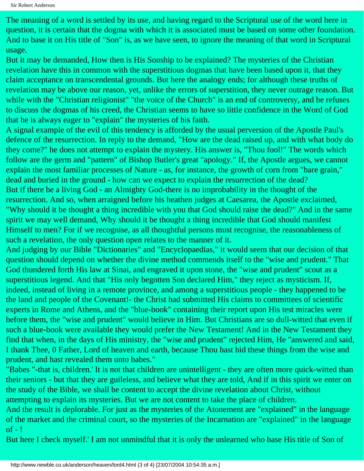The meaning of a word is settled by its use, and having regard to the Scriptural use of the word here in question, it is certain that the dogma with which it is associated must be based on some other foundation. And to base it on His title of "Son" is, as we have seen, to ignore the meaning of that word in Scriptural usage.

But it may be demanded, How then is His Sonship to be explained? The mysteries of the Christian revelation have this in common with the superstitious dogmas that have been based upon it, that they claim acceptance on transcendental grounds. But here the analogy ends; for although these truths of revelation may be above our reason, yet, unlike the errors of superstition, they never outrage reason. But while with the "Christian religionist" "the voice of the Church" is an end of controversy, and be refuses to discuss the dogmas of his creed, the Christian seems to have so little confidence in the Word of God that he is always eager to "explain" the mysteries of his faith.

A signal example of the evil of this tendency is afforded by the usual perversion of the Apostle Paul's defence of the resurrection. In reply to the demand, "How are the dead raised up, and with what body do they come?" he does not attempt to explain the mystery. His answer is, "Thou fool!" The words which follow are the germ and "pattern" of Bishop Butler's great "apology." If, the Apostle argues, we cannot explain the most familiar processes of Nature - as, for instance, the growth of corn from "bare grain," dead and buried in the ground - how can we expect to explain the resurrection of the dead? But if there be a living God - an Almighty God-there is no improbability in the thought of the resurrection. And so, when arraigned before his heathen judges at Caesarea, the Apostle exclaimed, "Why should it be thought a thing incredible with you that God should raise the dead?" And in the same spirit we may well demand, Why should it be thought a thing incredible that God should manifest Himself to men? For if we recognise, as all thoughtful persons must recognise, the reasonableness of such a revelation, the only question open relates to the manner of it.

And judging by our Bible "Dictionaries" and "Encyclopaedias," it would seem that our decision of that question should depend on whether the divine method commends itself to the "wise and prudent." That God thundered forth His law at Sinai, and engraved it upon stone, the "wise and prudent" scout as a superstitious legend. And that "His only begotten Son declared Him," they reject as mysticism. If, indeed, instead of living in a remote province, and among a superstitious people - they happened to be the land and people of the Covenant!- the Christ had submitted His claims to committees of scientific experts in Rome and Athens, and the "blue-book" containing their report upon His test miracles were before them, the "wise and prudent" would believe in Him. But Christians are so dull-witted that even if such a blue-book were available they would prefer the New Testament! And in the New Testament they find that when, in the days of His ministry, the "wise and prudent" rejected Him, He "answered and said, I thank Thee, 0 Father, Lord of heaven and earth, because Thou hast hid these things from the wise and prudent, and hast revealed them unto babes."

"Babes "-that is, children.' It is not that children are unintelligent - they are often more quick-witted than their seniors - but that they are guileless, and believe what they are told, And if in this spirit we enter on the study of the Bible, we shall be content to accept the divine revelation about Christ, without attempting to explain its mysteries. But we are not content to take the place of children.

And the result is deplorable. For just as the mysteries of the Atonement are "explained" in the language of the market and the criminal court, so the mysteries of the Incarnation are "explained" in the language  $of - !$ 

But here I check myself.' I am not unmindful that it is only the unlearned who base His title of Son of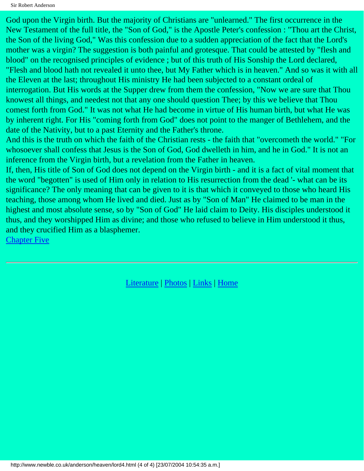Sir Robert Anderson

God upon the Virgin birth. But the majority of Christians are "unlearned." The first occurrence in the New Testament of the full title, the "Son of God," is the Apostle Peter's confession : "Thou art the Christ, the Son of the living God," Was this confession due to a sudden appreciation of the fact that the Lord's mother was a virgin? The suggestion is both painful and grotesque. That could be attested by "flesh and blood" on the recognised principles of evidence ; but of this truth of His Sonship the Lord declared, "Flesh and blood hath not revealed it unto thee, but My Father which is in heaven." And so was it with all the Eleven at the last; throughout His ministry He had been subjected to a constant ordeal of interrogation. But His words at the Supper drew from them the confession, "Now we are sure that Thou knowest all things, and needest not that any one should question Thee; by this we believe that Thou comest forth from God." It was not what He had become in virtue of His human birth, but what He was by inherent right. For His "coming forth from God" does not point to the manger of Bethlehem, and the date of the Nativity, but to a past Eternity and the Father's throne.

And this is the truth on which the faith of the Christian rests - the faith that "overcometh the world." "For whosoever shall confess that Jesus is the Son of God, God dwelleth in him, and he in God." It is not an inference from the Virgin birth, but a revelation from the Father in heaven.

If, then, His title of Son of God does not depend on the Virgin birth - and it is a fact of vital moment that the word "begotten" is used of Him only in relation to His resurrection from the dead '- what can be its significance? The only meaning that can be given to it is that which it conveyed to those who heard His teaching, those among whom He lived and died. Just as by "Son of Man" He claimed to be man in the highest and most absolute sense, so by "Son of God" He laid claim to Deity. His disciples understood it thus, and they worshipped Him as divine; and those who refused to believe in Him understood it thus, and they crucified Him as a blasphemer.

[Chapter Five](#page-21-0)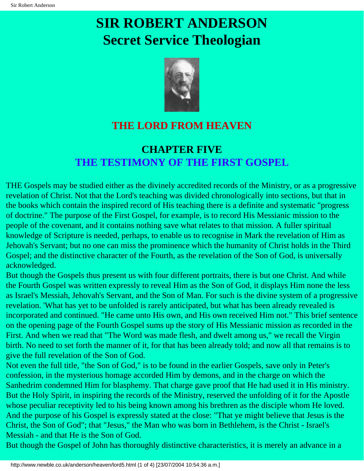

# **THE LORD FROM HEAVEN**

# <span id="page-21-0"></span>**CHAPTER FIVE THE TESTIMONY OF THE FIRST GOSPEL**

THE Gospels may be studied either as the divinely accredited records of the Ministry, or as a progressive revelation of Christ. Not that the Lord's teaching was divided chronologically into sections, but that in the books which contain the inspired record of His teaching there is a definite and systematic "progress of doctrine." The purpose of the First Gospel, for example, is to record His Messianic mission to the people of the covenant, and it contains nothing save what relates to that mission. A fuller spiritual knowledge of Scripture is needed, perhaps, to enable us to recognise in Mark the revelation of Him as Jehovah's Servant; but no one can miss the prominence which the humanity of Christ holds in the Third Gospel; and the distinctive character of the Fourth, as the revelation of the Son of God, is universally acknowledged.

But though the Gospels thus present us with four different portraits, there is but one Christ. And while the Fourth Gospel was written expressly to reveal Him as the Son of God, it displays Him none the less as Israel's Messiah, Jehovah's Servant, and the Son of Man. For such is the divine system of a progressive revelation. 'What has yet to be unfolded is rarely anticipated, but what has been already revealed is incorporated and continued. "He came unto His own, and His own received Him not." This brief sentence on the opening page of the Fourth Gospel sums up the story of His Messianic mission as recorded in the First. And when we read that "The Word was made flesh, and dwelt among us," we recall the Virgin birth. No need to set forth the manner of it, for that has been already told; and now all that remains is to give the full revelation of the Son of God.

Not even the full title, "the Son of God," is to be found in the earlier Gospels, save only in Peter's confession, in the mysterious homage accorded Him by demons, and in the charge on which the Sanhedrim condemned Him for blasphemy. That charge gave proof that He had used it in His ministry. But the Holy Spirit, in inspiring the records of the Ministry, reserved the unfolding of it for the Apostle whose peculiar receptivity led to his being known among his brethren as the disciple whom He loved. And the purpose of his Gospel is expressly stated at the close: "That ye might believe that Jesus is the Christ, the Son of God"; that "Jesus," the Man who was born in Bethlehem, is the Christ - Israel's Messiah - and that He is the Son of God.

But though the Gospel of John has thoroughly distinctive characteristics, it is merely an advance in a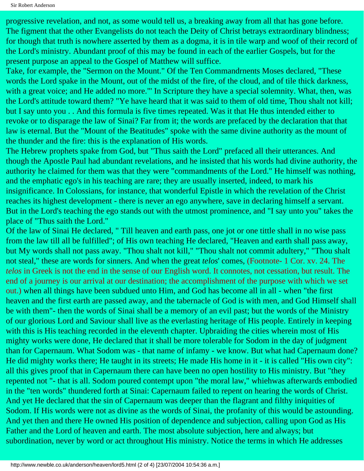progressive revelation, and not, as some would tell us, a breaking away from all that has gone before. The figment that the other Evangelists do not teach the Deity of Christ betrays extraordinary blindness; for though that truth is nowhere asserted by them as a dogma, it is in tile warp and woof of their record of the Lord's ministry. Abundant proof of this may be found in each of the earlier Gospels, but for the present purpose an appeal to the Gospel of Matthew will suffice.

Take, for example, the "Sermon on the Mount." Of the Ten Commandrnents Moses declared, "These words the Lord spake in the Mount, out of the midst of the fire, of the cloud, and of tile thick darkness, with a great voice; and He added no more."' In Scripture they have a special solemnity. What, then, was the Lord's attitude toward them? "Ye have heard that it was said to them of old time, Thou shalt not kill; but I say unto you . . And this formula is five times repeated. Was it that He thus intended either to revoke or to disparage the law of Sinai? Far from it; the words are prefaced by the declaration that that law is eternal. But the "Mount of the Beatitudes" spoke with the same divine authority as the mount of the thunder and the fire: this is the explanation of His words.

The Hebrew prophets spake from God, but "Thus saith the Lord" prefaced all their utterances. And though the Apostle Paul had abundant revelations, and he insisted that his words had divine authority, the authority he claimed for them was that they were "commandments of the Lord." He himself was nothing, and the emphatic ego's in his teaching are rare; they are usually inserted, indeed, to mark his insignificance. In Colossians, for instance, that wonderful Epistle in which the revelation of the Christ reaches its highest development - there is never an ego anywhere, save in declaring himself a servant. But in the Lord's teaching the ego stands out with the utmost prominence, and "I say unto you" takes the place of "Thus saith the Lord."

Of the law of Sinai He declared, " Till heaven and earth pass, one jot or one tittle shall in no wise pass from the law till all be fulfilled"; of His own teaching He declared, "Heaven and earth shall pass away, but My words shall not pass away. "Thou shalt not kill," "Thou shalt not commit adultery," "Thou shalt not steal," these are words for sinners. And when the great *telos*' comes, (Footnote- 1 Cor. xv. 24. The *telos* in Greek is not the end in the sense of our English word. It connotes, not cessation, but result. The end of a journey is our arrival at our destination; the accomplishment of the purpose with which we set out.) when all things have been subdued unto Him, and God has become all in all - when "the first heaven and the first earth are passed away, and the tabernacle of God is with men, and God Himself shall be with them"- then the words of Sinai shall be a memory of an evil past; but the words of the Ministry of our glorious Lord and Saviour shall live as the everlasting heritage of His people. Entirely in keeping with this is His teaching recorded in the eleventh chapter. Upbraiding the cities wherein most of His mighty works were done, He declared that it shall be more tolerable for Sodom in the day of judgment than for Capernaum. What Sodom was - that name of infamy - we know. But what had Capernaum done? He did mighty works there; He taught in its streets; He made His home in it - it is called "His own city": all this gives proof that in Capernaum there can have been no open hostility to His ministry. But "they repented not "- that is all. Sodom poured contempt upon "the moral law," whiehwas afterwards embodied in the "ten words" thundered forth at Sinai: Capernaum failed to repent on hearing the words of Christ. And yet He declared that the sin of Capernaum was deeper than the flagrant and filthy iniquities of Sodom. If His words were not as divine as the words of Sinai, the profanity of this would be astounding. And yet then and there He owned His position of dependence and subjection, calling upon God as His Father and the Lord of heaven and earth. The most absolute subjection, here and always; but subordination, never by word or act throughout His ministry. Notice the terms in which He addresses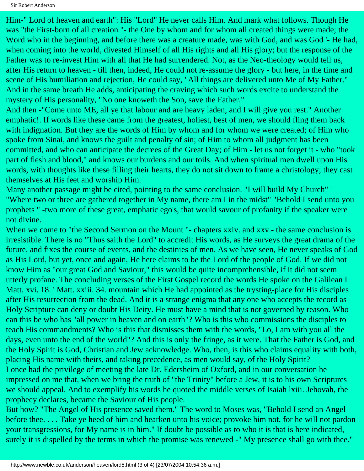Him-" Lord of heaven and earth": His "Lord" He never calls Him. And mark what follows. Though He was "the First-born of all creation "- the One by whom and for whom all created things were made; the Word who in the beginning, and before there was a creature made, was with God, and was God '- He had, when coming into the world, divested Himself of all His rights and all His glory; but the response of the Father was to re-invest Him with all that He had surrendered. Not, as the Neo-theology would tell us, after His return to heaven - till then, indeed, He could not re-assume the glory - but here, in the time and scene of His humiliation and rejection, He could say, "All things are delivered unto Me of My Father." And in the same breath He adds, anticipating the craving which such words excite to understand the mystery of His personality, "No one knoweth the Son, save the Father."

And then -"Come unto ME, all ye that labour and are heavy laden, and I will give you rest." Another emphatic!. If words like these came from the greatest, holiest, best of men, we should fling them back with indignation. But they are the words of Him by whom and for whom we were created; of Him who spoke from Sinai, and knows the guilt and penalty of sin; of Him to whom all judgment has been committed, and who can anticipate the decrees of the Great Day; of Him - let us not forget it - who "took part of flesh and blood," and knows our burdens and our toils. And when spiritual men dwell upon His words, with thoughts like these filling their hearts, they do not sit down to frame a christology; they cast themselves at His feet and worship Him.

Many another passage might be cited, pointing to the same conclusion. "I will build My Church" ' "Where two or three are gathered together in My name, there am I in the midst" "Behold I send unto you prophets " -two more of these great, emphatic ego's, that would savour of profanity if the speaker were not divine.

When we come to "the Second Sermon on the Mount "- chapters xxiv. and xxv.- the same conclusion is irresistible. There is no "Thus saith the Lord" to accredit His words, as He surveys the great drama of the future, and fixes the course of events, and the destinies of men. As we have seen, He never speaks of God as His Lord, but yet, once and again, He here claims to be the Lord of the people of God. If we did not know Him as "our great God and Saviour," this would be quite incomprehensible, if it did not seem utterly profane. The concluding verses of the First Gospel record the words He spoke on the Galilean I Matt. xvi. 18. ' Matt. xxiii. 34. mountain which He had appointed as the trysting-place for His disciples after His resurrection from the dead. And it is a strange enigma that any one who accepts the record as Holy Scripture can deny or doubt His Deity. He must have a mind that is not governed by reason. Who can this be who has "all power in heaven and on earth"? Who is this who commissions the disciples to teach His commandments? Who is this that dismisses them with the words, "Lo, I am with you all the days, even unto the end of the world"? And this is only the fringe, as it were. That the Father is God, and the Holy Spirit is God, Christian and Jew acknowledge. Who, then, is this who claims equality with both, placing His name with theirs, and taking precedence, as men would say, of the Holy Spirit? I once had the privilege of meeting the late Dr. Edersheim of Oxford, and in our conversation he impressed on me that, when we bring the truth of "the Trinity" before a Jew, it is to his own Scriptures we should appeal. And to exemplify his words he quoted the middle verses of Isaiah lxiii. Jehovah, the prophecy declares, became the Saviour of His people.

But how? "The Angel of His presence saved them." The word to Moses was, "Behold I send an Angel before thee. . . . Take ye heed of him and hearken unto his voice; provoke him not, for he will not pardon your transgressions, for My name is in him." If doubt be possible as to who it is that is here indicated, surely it is dispelled by the terms in which the promise was renewed -" My presence shall go with thee."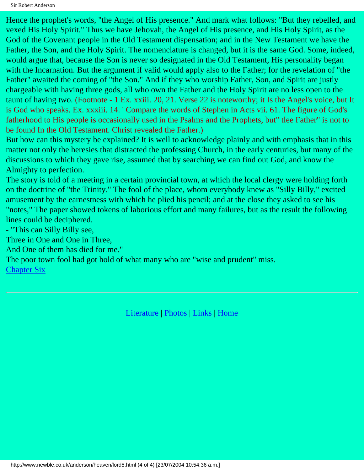Sir Robert Anderson

Hence the prophet's words, "the Angel of His presence." And mark what follows: "But they rebelled, and vexed His Holy Spirit." Thus we have Jehovah, the Angel of His presence, and His Holy Spirit, as the God of the Covenant people in the Old Testament dispensation; and in the New Testament we have the Father, the Son, and the Holy Spirit. The nomenclature is changed, but it is the same God. Some, indeed, would argue that, because the Son is never so designated in the Old Testament, His personality began with the Incarnation. But the argument if valid would apply also to the Father; for the revelation of "the Father" awaited the coming of "the Son." And if they who worship Father, Son, and Spirit are justly chargeable with having three gods, all who own the Father and the Holy Spirit are no less open to the taunt of having two. (Footnote - 1 Ex. xxiii. 20, 21. Verse 22 is noteworthy; it Is the Angel's voice, but It is God who speaks. Ex. xxxiii. 14. ' Compare the words of Stephen in Acts vii. 61. The figure of God's fatherhood to His people is occasionally used in the Psalms and the Prophets, but" tlee Father" is not to be found In the Old Testament. Christ revealed the Father.)

But how can this mystery be explained? It is well to acknowledge plainly and with emphasis that in this matter not only the heresies that distracted the professing Church, in the early centuries, but many of the discussions to which they gave rise, assumed that by searching we can find out God, and know the Almighty to perfection.

The story is told of a meeting in a certain provincial town, at which the local clergy were holding forth on the doctrine of "the Trinity." The fool of the place, whom everybody knew as "Silly Billy," excited amusement by the earnestness with which he plied his pencil; and at the close they asked to see his "notes," The paper showed tokens of laborious effort and many failures, but as the result the following lines could be deciphered.

- "This can Silly Billy see,

Three in One and One in Three,

And One of them has died for me."

The poor town fool had got hold of what many who are "wise and prudent" miss.

**[Chapter Six](#page-25-0)**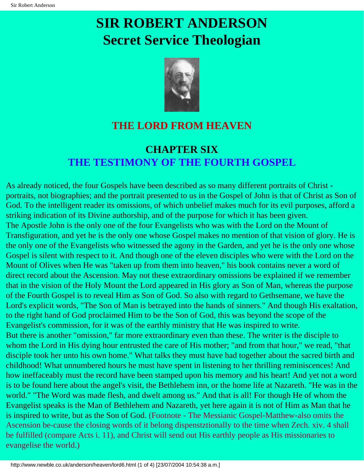

## **THE LORD FROM HEAVEN**

# <span id="page-25-0"></span>**CHAPTER SIX THE TESTIMONY OF THE FOURTH GOSPEL**

As already noticed, the four Gospels have been described as so many different portraits of Christ portraits, not biographies; and the portrait presented to us in the Gospel of John is that of Christ as Son of God. To the intelligent reader its omissions, of which unbelief makes much for its evil purposes, afford a striking indication of its Divine authorship, and of the purpose for which it has been given. The Apostle John is the only one of the four Evangelists who was with the Lord on the Mount of Transfiguration, and yet he is the only one whose Gospel makes no mention of that vision of glory. He is the only one of the Evangelists who witnessed the agony in the Garden, and yet he is the only one whose Gospel is silent with respect to it. And though one of the eleven disciples who were with the Lord on the Mount of Olives when He was "taken up from them into heaven," his book contains never a word of direct record about the Ascension. May not these extraordinary omissions be explained if we remember that in the vision of the Holy Mount the Lord appeared in His glory as Son of Man, whereas the purpose of the Fourth Gospel is to reveal Him as Son of God. So also with regard to Gethsemane, we have the Lord's explicit words, "The Son of Man is betrayed into the hands of sinners." And though His exaltation, to the right hand of God proclaimed Him to be the Son of God, this was beyond the scope of the Evangelist's commission, for it was of the earthly ministry that He was inspired to write. But there is another "omission," far more extraordinary even than these. The writer is the disciple to whom the Lord in His dying hour entrusted the care of His mother; "and from that hour," we read, "that disciple took her unto his own home." What talks they must have had together about the sacred birth and childhood! What unnumbered hours he must have spent in listening to her thrilling reminiscences! And how ineffaceably must the record have been stamped upon his memory and his heart! And yet not a word is to be found here about the angel's visit, the Bethlehem inn, or the home life at Nazareth. "He was in the world." "The Word was made flesh, and dwelt among us." And that is all! For though He of whom the Evangelist speaks is the Man of Bethlehem and Nazareth, yet here again it is not of Him as Man that he is inspired to write, but as the Son of God. (Footnote - The Messianic Gospel-Matthew-also omits the Ascension be-cause the closing words of it belong dispenstztionally to the time when Zech. xiv. 4 shall be fulfilled (compare Acts i. 11), and Christ will send out His earthly people as His missionaries to evangelise the world.)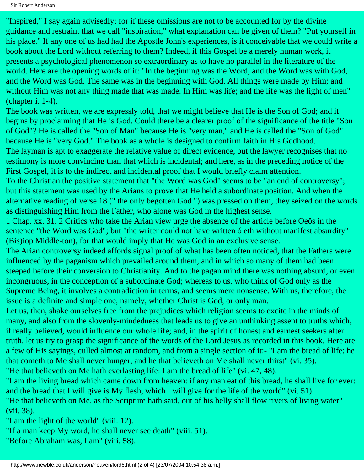Sir Robert Anderson

"Inspired," I say again advisedly; for if these omissions are not to be accounted for by the divine guidance and restraint that we call "inspiration," what explanation can be given of them? "Put yourself in his place." If any one of us had had the Apostle John's experiences, is it conceivable that we could write a book about the Lord without referring to them? Indeed, if this Gospel be a merely human work, it presents a psychological phenomenon so extraordinary as to have no parallel in the literature of the world. Here are the opening words of it: "In the beginning was the Word, and the Word was with God, and the Word was God. The same was in the beginning with God. All things were made by Him; and without Him was not any thing made that was made. In Him was life; and the life was the light of men" (chapter i. 1-4).

The book was written, we are expressly told, that we might believe that He is the Son of God; and it begins by proclaiming that He is God. Could there be a clearer proof of the significance of the title "Son of God"? He is called the "Son of Man" because He is "very man," and He is called the "Son of God" because He is "very God." The book as a whole is designed to confirm faith in His Godhood. The layman is apt to exaggerate the relative value of direct evidence, but the lawyer recognises that no testimony is more convincing than that which is incidental; and here, as in the preceding notice of the

First Gospel, it is to the indirect and incidental proof that I would briefly claim attention.

To the Christian the positive statement that "the Word was God" seems to be "an end of controversy"; but this statement was used by the Arians to prove that He held a subordinate position. And when the alternative reading of verse 18 (" the only begotten God ") was pressed on them, they seized on the words as distinguishing Him from the Father, who alone was God in the highest sense.

1 Chap. xx. 31. 2 Critics who take the Arian view urge the absence of the article before Oeôs in the sentence "the Word was God"; but "the writer could not have written ó eth without manifest absurdity" (Bis)iop Middle-ton), for that would imply that He was God in an exclusive sense.

The Arian controversy indeed affords signal proof of what has been often noticed, that the Fathers were influenced by the paganism which prevailed around them, and in which so many of them had been steeped before their conversion to Christianity. And to the pagan mind there was nothing absurd, or even incongruous, in the conception of a subordinate God; whereas to us, who think of God only as the Supreme Being, it involves a contradiction in terms, and seems mere nonsense. With us, therefore, the issue is a definite and simple one, namely, whether Christ is God, or only man.

Let us, then, shake ourselves free from the prejudices which religion seems to excite in the minds of many, and also from the slovenly-mindedness that leads us to give an unthinking assent to truths which, if really believed, would influence our whole life; and, in the spirit of honest and earnest seekers after truth, let us try to grasp the significance of the words of the Lord Jesus as recorded in this book. Here are a few of His sayings, culled almost at random, and from a single section of it:- "I am the bread of life: he that cometh to Me shall never hunger, and he that believeth on Me shall never thirst" (vi. 35).

"He that believeth on Me hath everlasting life: I am the bread of life" (vi. 47, 48).

"I am the living bread which came down from heaven: if any man eat of this bread, he shall live for ever: and the bread that I will give is My flesh, which I will give for the life of the world" (vi. 51).

"He that believeth on Me, as the Scripture hath said, out of his belly shall flow rivers of living water" (vii. 38).

"I am the light of the world" (viii. 12).

"If a man keep My word, he shall never see death" (viii. 51).

"Before Abraham was, I am" (viii. 58).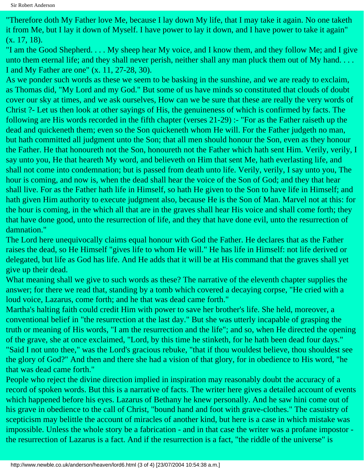"Therefore doth My Father love Me, because I lay down My life, that I may take it again. No one taketh it from Me, but I lay it down of Myself. I have power to lay it down, and I have power to take it again" (x. 17, 18).

"I am the Good Shepherd. . . . My sheep hear My voice, and I know them, and they follow Me; and I give unto them eternal life; and they shall never perish, neither shall any man pluck them out of My hand. . . . I and My Father are one" (x. 11, 27-28, 30).

As we ponder such words as these we seem to be basking in the sunshine, and we are ready to exclaim, as Thomas did, "My Lord and my God." But some of us have minds so constituted that clouds of doubt cover our sky at times, and we ask ourselves, How can we be sure that these are really the very words of Christ ?- Let us then look at other sayings of His, the genuineness of which is confirmed by facts. The following are His words recorded in the fifth chapter (verses 21-29) :- "For as the Father raiseth up the dead and quickeneth them; even so the Son quickeneth whom He will. For the Father judgeth no man, but hath committed all judgment unto the Son; that all men should honour the Son, even as they honour the Father. He that honoureth not the Son, honoureth not the Father which hath sent Him. Verily, verily, I say unto you, He that heareth My word, and believeth on Him that sent Me, hath everlasting life, and shall not come into condemnation; but is passed from death unto life. Verily, verily, I say unto you, The hour is coming, and now is, when the dead shall hear the voice of the Son of God; and they that hear shall live. For as the Father hath life in Himself, so hath He given to the Son to have life in Himself; and hath given Him authority to execute judgment also, because He is the Son of Man. Marvel not at this: for the hour is coming, in the which all that are in the graves shall hear His voice and shall come forth; they that have done good, unto the resurrection of life, and they that have done evil, unto the resurrection of damnation."

The Lord here unequivocally claims equal honour with God the Father. He declares that as the Father raises the dead, so He Himself "gives life to whom He will." He has life in Himself: not life derived or delegated, but life as God has life. And He adds that it will be at His command that the graves shall yet give up their dead.

What meaning shall we give to such words as these? The narrative of the eleventh chapter supplies the answer; for there we read that, standing by a tomb which covered a decaying corpse, "He cried with a loud voice, Lazarus, come forth; and he that was dead came forth."

Martha's halting faith could credit Him with power to save her brother's life. She held, moreover, a conventional belief in "the resurrection at the last day." But she was utterly incapable of grasping the truth or meaning of His words, "I am the resurrection and the life"; and so, when He directed the opening of the grave, she at once exclaimed, "Lord, by this time he stinketh, for he hath been dead four days." "Said I not unto thee," was the Lord's gracious rebuke, "that if thou wouldest believe, thou shouldest see the glory of God?" And then and there she had a vision of that glory, for in obedience to His word, "he that was dead came forth."

People who reject the divine direction implied in inspiration may reasonably doubt the accuracy of a record of spoken words. But this is a narrative of facts. The writer here gives a detailed account of events which happened before his eyes. Lazarus of Bethany he knew personally. And he saw hini come out of his grave in obedience to the call of Christ, "bound hand and foot with grave-clothes." The casuistry of scepticism may belittle the account of miracles of another kind, but here is a case in which mistake was impossible. Unless the whole story be a fabrication - and in that case the writer was a profane impostor the resurrection of Lazarus is a fact. And if the resurrection is a fact, "the riddle of the universe" is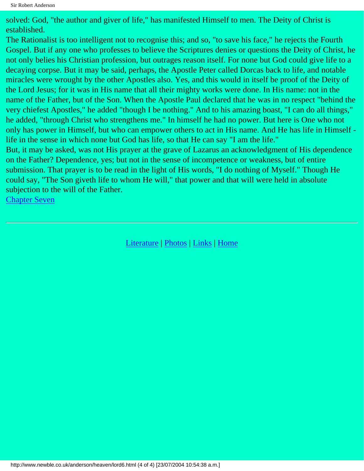solved: God, "the author and giver of life," has manifested Himself to men. The Deity of Christ is established.

The Rationalist is too intelligent not to recognise this; and so, "to save his face," he rejects the Fourth Gospel. But if any one who professes to believe the Scriptures denies or questions the Deity of Christ, he not only belies his Christian profession, but outrages reason itself. For none but God could give life to a decaying corpse. But it may be said, perhaps, the Apostle Peter called Dorcas back to life, and notable miracles were wrought by the other Apostles also. Yes, and this would in itself be proof of the Deity of the Lord Jesus; for it was in His name that all their mighty works were done. In His name: not in the name of the Father, but of the Son. When the Apostle Paul declared that he was in no respect "behind the very chiefest Apostles," he added "though I be nothing." And to his amazing boast, "I can do all things," he added, "through Christ who strengthens me." In himself he had no power. But here is One who not only has power in Himself, but who can empower others to act in His name. And He has life in Himself life in the sense in which none but God has life, so that He can say "I am the life." But, it may be asked, was not His prayer at the grave of Lazarus an acknowledgment of His dependence

on the Father? Dependence, yes; but not in the sense of incompetence or weakness, but of entire submission. That prayer is to be read in the light of His words, "I do nothing of Myself." Though He could say, "The Son giveth life to whom He will," that power and that will were held in absolute subjection to the will of the Father.

[Chapter Seven](#page-29-0)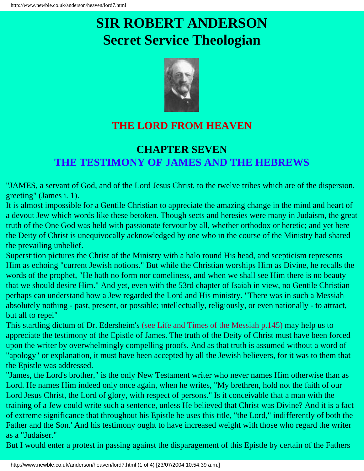

# **THE LORD FROM HEAVEN**

# <span id="page-29-0"></span>**CHAPTER SEVEN THE TESTIMONY OF JAMES AND THE HEBREWS**

"JAMES, a servant of God, and of the Lord Jesus Christ, to the twelve tribes which are of the dispersion, greeting" (James i. 1).

It is almost impossible for a Gentile Christian to appreciate the amazing change in the mind and heart of a devout Jew which words like these betoken. Though sects and heresies were many in Judaism, the great truth of the One God was held with passionate fervour by all, whether orthodox or heretic; and yet here the Deity of Christ is unequivocally acknowledged by one who in the course of the Ministry had shared the prevailing unbelief.

Superstition pictures the Christ of the Ministry with a halo round His head, and scepticism represents Him as echoing "current Jewish notions." But while the Christian worships Him as Divine, he recalls the words of the prophet, "He hath no form nor comeliness, and when we shall see Him there is no beauty that we should desire Him." And yet, even with the 53rd chapter of Isaiah in view, no Gentile Christian perhaps can understand how a Jew regarded the Lord and His ministry. "There was in such a Messiah absolutely nothing - past, present, or possible; intellectually, religiously, or even nationally - to attract, but all to repel"

This startling dictum of Dr. Edersheim's (see Life and Times of the Messiah p.145) may help us to appreciate the testimony of the Epistle of James. The truth of the Deity of Christ must have been forced upon the writer by overwhelmingly compelling proofs. And as that truth is assumed without a word of "apology" or explanation, it must have been accepted by all the Jewish believers, for it was to them that the Epistle was addressed.

"James, the Lord's brother," is the only New Testament writer who never names Him otherwise than as Lord. He names Him indeed only once again, when he writes, "My brethren, hold not the faith of our Lord Jesus Christ, the Lord of glory, with respect of persons." Is it conceivable that a man with the training of a Jew could write such a sentence, unless He believed that Christ was Divine? And it is a fact of extreme significance that throughout his Epistle he uses this title, "the Lord," indifferently of both the Father and the Son.' And his testimony ought to have increased weight with those who regard the writer as a "Judaiser."

But I would enter a protest in passing against the disparagement of this Epistle by certain of the Fathers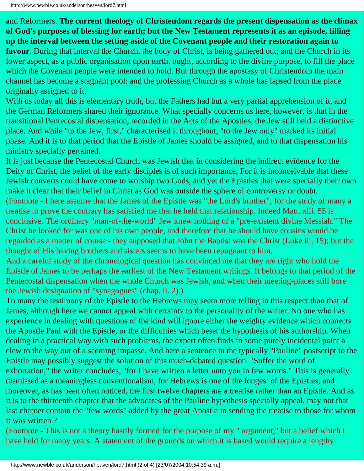and Reformers. **The current theology of Christendom regards the present dispensation as the climax of God's purposes of blessing for earth; but the New Testament represents it as an episode, filling up the interval between the setting aside of the Covenant people and their restoration again to favour**. During that interval the Church, the body of Christ, is being gathered out; and the Church in its lower aspect, as a public organisation upon earth, ought, according to the divine purpose, to fill the place which the Covenant people were intended to hold. But through the apostasy of Christendom the main channel has become a stagnant pool; and the professing Church as a whole has lapsed from the place originally assigned to it.

With us today all this is elementary truth, but the Fathers had but a very partial apprehension of it, and the German Reformers shared their ignorance. What specially concerns us here, however, is that in the transitional Pentecostal dispensation, recorded in the Acts of the Apostles, the Jew still held a distinctive place. And while "to the Jew, first," characterised it throughout, "to the Jew only" marked its initial phase. And it is to that period that the Epistle of James should be assigned, and to that dispensation his ministry specially pertained.

It is just because the Pentecostal Church was Jewish that in considering the indirect evidence for the Deity of Christ, the belief of the early disciples is of such importance, For it is inconceivable that these Jewish converts could have come to worship two Gods, and yet the Epistles that were specially their own make it clear that their belief in Christ as God was outside the sphere of controversy or doubt. (Footnote - I here assume that the James of the Epistle was "the Lord's brother"; for the study of many a treatise to prove the contrary has satisfied me that he held that relationship. Indeed Matt. xlii. 55 is conclusive. The ordinary "man-of-the-world" Jew knew nothing of a "pre-existent divine Messiah." The Christ he looked for was one of his own people, and therefore that he should have cousins would be regarded as a matter of course - they supposed that John the Baptist was the Christ (Luke iii. 15); but the thought of His having brothers and sisters seems to have been repugnant to him.

And a careful study of the chronological question has convinced me that they are right who hold the Epistle of James to be perhaps the earliest of the New Testament writings. It belongs to that period of the Pentecostal dispensation when the whole Church was Jewish, and when their meeting-places still bore the Jewish designation of "synagogues" (chap. ii. 2).)

To many the testimony of the Epistle to the Hebrews may seem more telling in this respect than that of James, although here we cannot appeal with certainty to the personality of the writer. No one who has experience in dealing with questions of the kind will ignore either the weighty evidence which connects the Apostle Paul with the Epistle, or the difficulties which beset the hypothesis of his authorship. When dealing in a practical way with such problems, the expert often finds in some purely incidental point a clew to the way out of a seeming impasse. And here a sentence in the typically "Pauline" postscript to the Epistle may possibly suggest the solution of this much-debated question. "Suffer the word of exhortation," the writer concludes, "for I have written a letter unto you in few words." This is generally dismissed as a meaningless conventionalism, for Hebrews is one of the longest of the Epistles; and moreover, as has been often noticed, the first twelve chapters are a treatise rather than an Epistle. And as it is to the thirteenth chapter that the advocates of the Pauline hypothesis specially appeal, may not that last chapter contain the "few words" added by the great Apostle in sending the treatise to those for whom it was written ?

(Footnote - This is not a theory hastily formed for the purpose of my " argument," but a belief which I have held for many years. A statement of the grounds on which it is based would require a lengthy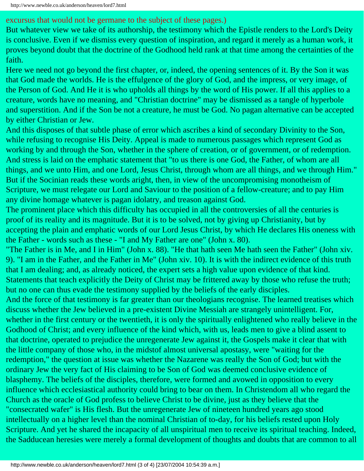excursus that would not be germane to the subject of these pages.)

But whatever view we take of its authorship, the testimony which the Epistle renders to the Lord's Deity is conclusive. Even if we dismiss every question of inspiration, and regard it merely as a human work, it proves beyond doubt that the doctrine of the Godhood held rank at that time among the certainties of the faith.

Here we need not go beyond the first chapter, or, indeed, the opening sentences of it. By the Son it was that God made the worlds. He is the effulgence of the glory of God, and the impress, or very image, of the Person of God. And He it is who upholds all things by the word of His power. If all this applies to a creature, words have no meaning, and "Christian doctrine" may be dismissed as a tangle of hyperbole and superstition. And if the Son be not a creature, he must be God. No pagan alternative can be accepted by either Christian or Jew.

And this disposes of that subtle phase of error which ascribes a kind of secondary Divinity to the Son, while refusing to recognise His Deity. Appeal is made to numerous passages which represent God as working by and through the Son, whether in the sphere of creation, or of government, or of redemption. And stress is laid on the emphatic statement that "to us there is one God, the Father, of whom are all things, and we unto Him, and one Lord, Jesus Christ, through whom are all things, and we through Him." But if the Socinian reads these words aright, then, in view of the uncompromising monotheism of Scripture, we must relegate our Lord and Saviour to the position of a fellow-creature; and to pay Him any divine homage whatever is pagan idolatry, and treason against God.

The prominent place which this difficulty has occupied in all the controversies of all the centuries is proof of its reality and its magnitude. But it is to be solved, not by giving up Christianity, but by accepting the plain and emphatic words of our Lord Jesus Christ, by which He declares His oneness with the Father - words such as these - "I and My Father are one" (John x. 80).

"The Father is in Me, and I in Him" (John x. 88). "He that hath seen Me hath seen the Father" (John xiv. 9). "I am in the Father, and the Father in Me" (John xiv. 10). It is with the indirect evidence of this truth that I am dealing; and, as already noticed, the expert sets a high value upon evidence of that kind. Statements that teach explicitly the Deity of Christ may be frittered away by those who refuse the truth; but no one can thus evade the testimony supplied by the beliefs of the early disciples.

And the force of that testimony is far greater than our theologians recognise. The learned treatises which discuss whether the Jew believed in a pre-existent Divine Messiah are strangely unintelligent. For, whether in the first century or the twentieth, it is only the spiritually enlightened who really believe in the Godhood of Christ; and every influence of the kind which, with us, leads men to give a blind assent to that doctrine, operated to prejudice the unregenerate Jew against it, the Gospels make it clear that with the little company of those who, in the midstof almost universal apostasy, were "waiting for the redemption," the question at issue was whether the Nazarene was really the Son of God; but with the ordinary Jew the very fact of His claiming to be Son of God was deemed conclusive evidence of blasphemy. The beliefs of the disciples, therefore, were formed and avowed in opposition to every influence which ecclesiastical authority could bring to bear on them. In Christendom all who regard the Church as the oracle of God profess to believe Christ to be divine, just as they believe that the "consecrated wafer" is His flesh. But the unregenerate Jew of nineteen hundred years ago stood intellectually on a higher level than the nominal Christian of to-day, for his beliefs rested upon Holy Scripture. And yet he shared the incapacity of all unspiritual men to receive its spiritual teaching. Indeed, the Sadducean heresies were merely a formal development of thoughts and doubts that are common to all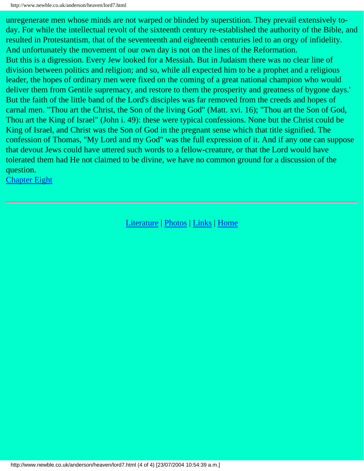unregenerate men whose minds are not warped or blinded by superstition. They prevail extensively today. For while the intellectual revolt of the sixteenth century re-established the authority of the Bible, and resulted in Protestantism, that of the seventeenth and eighteenth centuries led to an orgy of infidelity. And unfortunately the movement of our own day is not on the lines of the Reformation.

But this is a digression. Every Jew looked for a Messiah. But in Judaism there was no clear line of division between politics and religion; and so, while all expected him to be a prophet and a religious leader, the hopes of ordinary men were fixed on the coming of a great national champion who would deliver them from Gentile supremacy, and restore to them the prosperity and greatness of bygone days.' But the faith of the little band of the Lord's disciples was far removed from the creeds and hopes of carnal men. "Thou art the Christ, the Son of the living God" (Matt. xvi. 16); "Thou art the Son of God, Thou art the King of Israel" (John i. 49): these were typical confessions. None but the Christ could be King of Israel, and Christ was the Son of God in the pregnant sense which that title signified. The confession of Thomas, "My Lord and my God" was the full expression of it. And if any one can suppose that devout Jews could have uttered such words to a fellow-creature, or that the Lord would have tolerated them had He not claimed to be divine, we have no common ground for a discussion of the question.

[Chapter Eight](#page-33-0)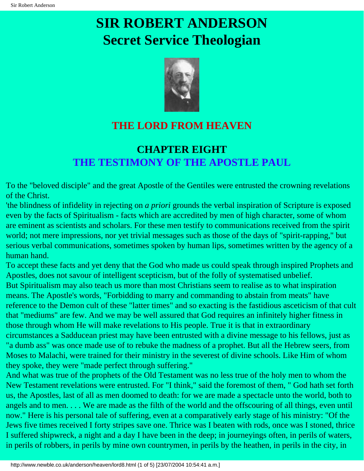

# **THE LORD FROM HEAVEN**

# <span id="page-33-0"></span>**CHAPTER EIGHT THE TESTIMONY OF THE APOSTLE PAUL**

To the "beloved disciple" and the great Apostle of the Gentiles were entrusted the crowning revelations of the Christ.

'the blindness of infidelity in rejecting on *a priori* grounds the verbal inspiration of Scripture is exposed even by the facts of Spiritualism - facts which are accredited by men of high character, some of whom are eminent as scientists and scholars. For these men testify to communications received from the spirit world; not mere impressions, nor yet trivial messages such as those of the days of "spirit-rapping," but serious verbal communications, sometimes spoken by human lips, sometimes written by the agency of a human hand.

To accept these facts and yet deny that the God who made us could speak through inspired Prophets and Apostles, does not savour of intelligent scepticism, but of the folly of systematised unbelief. But Spiritualism may also teach us more than most Christians seem to realise as to what inspiration means. The Apostle's words, "Forbidding to marry and commanding to abstain from meats" have reference to the Demon cult of these "latter times" and so exacting is the fastidious asceticism of that cult that "mediums" are few. And we may be well assured that God requires an infinitely higher fitness in those through whom He will make revelations to His people. True it is that in extraordinary circumstances a Sadducean priest may have been entrusted with a divine message to his fellows, just as "a dumb ass" was once made use of to rebuke the madness of a prophet. But all the Hebrew seers, from Moses to Malachi, were trained for their ministry in the severest of divine schools. Like Him of whom they spoke, they were "made perfect through suffering."

And what was true of the prophets of the Old Testament was no less true of the holy men to whom the New Testament revelations were entrusted. For "I think," said the foremost of them, " God hath set forth us, the Apostles, last of all as men doomed to death: for we are made a spectacle unto the world, both to angels and to men. . . . We are made as the filth of the world and the offscouring of all things, even until now." Here is his personal tale of suffering, even at a comparatively early stage of his ministry: "Of the Jews five times received I forty stripes save one. Thrice was I beaten with rods, once was I stoned, thrice I suffered shipwreck, a night and a day I have been in the deep; in journeyings often, in perils of waters, in perils of robbers, in perils by mine own countrymen, in perils by the heathen, in perils in the city, in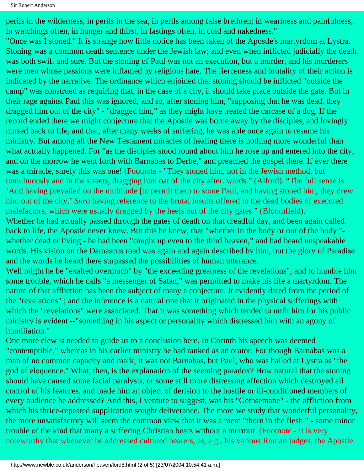perils in the wilderness, in perils in the sea, in perils among false brethren; in weariness and painfulness, in watchings often, in hunger and thirst, in fastings often, in cold and nakedness."

"Once was I stoned." It is strange how little notice has been taken of the Apostle's martyrdom at Lystra. Stoning was a common death sentence under the Jewish law; and even when inflicted judicially the death was both swift and sure. But the stoning of Paul was not an execution, but a murder, and his murderers were men whose passions were inflamed by religious hate. The fierceness and brutality of their action is indicated by the narrative. The ordinance which enjoined that stoning should be inflicted "outside the camp" was construed as requiring that, in the case of a city, it should take place outside the gate. But in their rage against Paul this was ignored; and so, after stoning him, "supposing that he was dead, they dragged him out of the city" - "dragged him," as they might have treated the carcase of a dog. If the record ended there we might conjecture that the Apostle was borne away by the disciples, and lovingly nursed back to life, and that, after many weeks of suffering, he was able once again to resume his ministry. But among all the New Testament miracles of healing there is nothing more wonderful than what actually happened. For "as the disciples stood round about him he rose up and entered into the city; and on the morrow he went forth with Barnabas to Derbe," and preached the gospel there. If ever there was a miracle, surely this was one! (Footnote - "They stoned him, not in the Jewish method, but tumultuously and in the streets, dragging him oat of the city after. wards." (Alford). "The full sense is 'And having prevailed on the multitude [to permit them to stone Paul, and having stoned him, they drew him out of the city.' *Suro* having reference to the brutal insults offered to the dead bodies of executed malefactors, which were usually dragged by the heels out of the city gates." (Bloomfield).

Whether he had actually passed through the gates of death on that dreadful day, and been again called back to life, the Apostle never knew. But this he knew, that "whether in the body or out of the body " whether dead or living - he had been "caught up even to the third heaven," and had heard unspeakable words. His vision on the Damascus road was again and again described by him, but the glory of Paradise and the words he heard there surpassed the possibilities of human utterance.

Well might he be "exalted overmuch" by "the exceeding greatness of the revelations"; and to humble him some trouble, which he calls "a messenger of Satan," was permitted to make his life a martyrdom. The nature of that affliction has been the subject of many a conjecture. It evidently dated from the period of the "revelations" ; and the inference is a natural one that it originated in the physical sufferings with which the "revelations" were associated. That it was something which tended to unfit him for his public ministry is evident --"something in his aspect or personality which distressed him with an agony of humiliation."

One more clew is needed to guide us to a conclusion here. In Corinth his speech was deemed "contemptible," whereas in his earlier ministry he had ranked as an orator. For though Barnabas was a man of no common capacity and mark, it was not Barnabas, but Paul, who was hailed at Lystra as "the god of eloquence." What, then, is the explanation of the seeming paradox? How natural that the stoning should have caused some facial paralysis, or some still more distressing affection which destroyed all control of his features, and made him an object of derision to the hostile or ill-conditioned members of every audience he addressed? And this, I venture to suggest, was his "Gethsemane" - the affliction from which his thrice-repeated supplication sought deliverance. The more we study that wonderful personality, the more unsatisfactory will seem the common view that it was a mere "thorn in the flesh " - some minor trouble of the kind that many a suffering Christian bears without a murmur. (Footnote - It is very noteworthy that whenever he addressed cultured hearers, as, e.g., his various Roman judges, the Apostle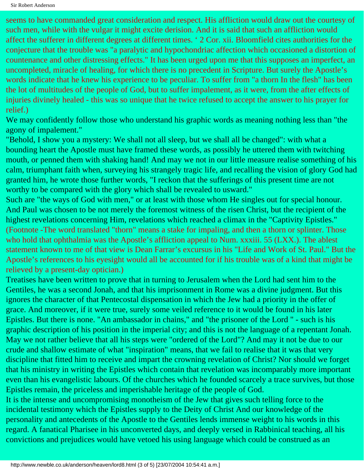seems to have commanded great consideration and respect. His affliction would draw out the courtesy of such men, while with the vulgar it might excite derision. And it is said that such an affliction would affect the sufferer in different degrees at different times. ' 2 Cor. xii. Bloomfield cites authorities for the conjecture that the trouble was "a paralytic and hypochondriac affection which occasioned a distortion of countenance and other distressing effects." It has been urged upon me that this supposes an imperfect, an uncompleted, miracle of healing, for which there is no precedent in Scripture. But surely the Apostle's words indicate that he knew his experience to be peculiar. To suffer from "a thorn In the flesh" has been the lot of multitudes of the people of God, but to suffer impalement, as it were, from the after effects of injuries divinely healed - this was so unique that he twice refused to accept the answer to his prayer for relief.)

We may confidently follow those who understand his graphic words as meaning nothing less than "the agony of impalement."

"Behold, I show you a mystery: We shall not all sleep, but we shall all be changed": with what a bounding heart the Apostle must have framed these words, as possibly he uttered them with twitching mouth, or penned them with shaking hand! And may we not in our little measure realise something of his calm, triumphant faith when, surveying his strangely tragic life, and recalling the vision of glory God had granted him, he wrote those further words, "I reckon that the sufferings of this present time are not worthy to be compared with the glory which shall be revealed to usward."

Such are "the ways of God with men," or at least with those whom He singles out for special honour. And Paul was chosen to be not merely the foremost witness of the risen Christ, but the recipient of the highest revelations concerning Him, revelations which reached a climax in the "Captivity Epistles." (Footnote -The word translated "thorn" means a stake for impaling, and then a thorn or splinter. Those who hold that ophthalmia was the Apostle's affliction appeal to Num. xxxiii. 55 (LXX.). The ablest statement known to me of that view is Dean Farrar's excursus in his "Life and Work of St. Paul." But the Apostle's references to his eyesight would all be accounted for if his trouble was of a kind that might be relieved by a present-day optician.)

Treatises have been written to prove that in turning to Jerusalem when the Lord had sent him to the Gentiles, he was a second Jonah, and that his imprisonment in Rome was a divine judgment. But this ignores the character of that Pentecostal dispensation in which the Jew had a priority in the offer of grace. And moreover, if it were true, surely some veiled reference to it would be found in his later Epistles. But there is none. "An ambassador in chains," and "the prisoner of the Lord " - such is his graphic description of his position in the imperial city; and this is not the language of a repentant Jonah. May we not rather believe that all his steps were "ordered of the Lord"? And may it not be due to our crude and shallow estimate of what "inspiration" means, that we fail to realise that it was that very discipline that fitted him to receive and impart the crowning revelation of Christ? Nor should we forget that his ministry in writing the Epistles which contain that revelation was incomparably more important even than his evangelistic labours. Of the churches which he founded scarcely a trace survives, but those Epistles remain, the priceless and imperishable heritage of the people of God.

It is the intense and uncompromising monotheism of the Jew that gives such telling force to the incidental testimony which the Epistles supply to the Deity of Christ And our knowledge of the personality and antecedents of the Apostle to the Gentiles lends immense weight to his words in this regard. A fanatical Pharisee in his unconverted days, and deeply versed in Rabbinical teaching, all his convictions and prejudices would have vetoed his using language which could be construed as an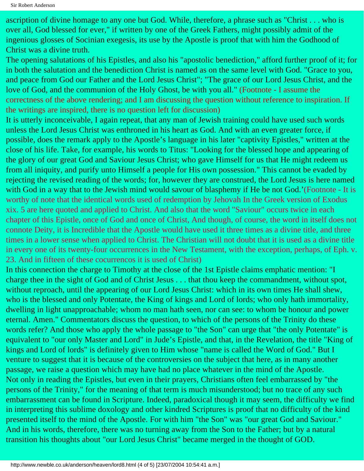ascription of divine homage to any one but God. While, therefore, a phrase such as "Christ . . . who is over all, God blessed for ever," if written by one of the Greek Fathers, might possibly admit of the ingenious glosses of Socinian exegesis, its use by the Apostle is proof that with him the Godhood of Christ was a divine truth.

The opening salutations of his Epistles, and also his "apostolic benediction," afford further proof of it; for in both the salutation and the benediction Christ is named as on the same level with God. "Grace to you, and peace from God our Father and the Lord Jesus Christ"; "The grace of our Lord Jesus Christ, and the love of God, and the communion of the Holy Ghost, be with you all." (Footnote - I assume the correctness of the above rendering; and I am discussing the question without reference to inspiration. If the writings are inspired, there is no question left for discussion)

It is utterly inconceivable, I again repeat, that any man of Jewish training could have used such words unless the Lord Jesus Christ was enthroned in his heart as God. And with an even greater force, if possible, does the remark apply to the Apostle's language in his later "captivity Epistles," written at the close of his life. Take, for example, his words to Titus: "Looking for the blessed hope and appearing of the glory of our great God and Saviour Jesus Christ; who gave Himself for us that He might redeem us from all iniquity, and purify unto Himself a people for His own possession." This cannot be evaded by rejecting the revised reading of the words; for, however they are construed, the Lord Jesus is here named with God in a way that to the Jewish mind would savour of blasphemy if He be not God.'(Footnote - It is worthy of note that the identical words used of redemption by Jehovah In the Greek version of Exodus xix. 5 are here quoted and applied to Christ. And also that the word "Saviour" occurs twice in each chapter of this Epistle, once of God and once of Christ, And though, of course, the word in itself does not connote Deity, it is Incredible that the Apostle would have used it three times as a divine title, and three times in a lower sense when applied to Christ. The Christian will not doubt that it is used as a divine title in every one of its twenty-four occurrences in the New Testament, with the exception, perhaps, of Eph. v. 23. And in fifteen of these cocurrencos it is used of Christ)

In this connection the charge to Timothy at the close of the 1st Epistle claims emphatic mention: "I charge thee in the sight of God and of Christ Jesus . . . that thou keep the commandment, without spot, without reproach, until the appearing of our Lord Jesus Christ: which in its own times He shall shew, who is the blessed and only Potentate, the King of kings and Lord of lords; who only hath immortality, dwelling in light unapproachable; whom no man hath seen, nor can see: to whom be honour and power eternal. Amen." Commentators discuss the question, to which of the persons of the Trinity do these words refer? And those who apply the whole passage to "the Son" can urge that "the only Potentate" is equivalent to "our only Master and Lord" in Jude's Epistle, and that, in the Revelation, the title "King of kings and Lord of lords" is definitely given to Him whose "name is called the Word of God." But I venture to suggest that it is because of the controversies on the subject that here, as in many another passage, we raise a question which may have had no place whatever in the mind of the Apostle. Not only in reading the Epistles, but even in their prayers, Christians often feel embarrassed by "the persons of the Trinity," for the meaning of that term is much misunderstood; but no trace of any such embarrassment can be found in Scripture. Indeed, paradoxical though it may seem, the difficulty we find in interpreting this sublime doxology and other kindred Scriptures is proof that no difficulty of the kind presented itself to the mind of the Apostle. For with him "the Son" was "our great God and Saviour." And in his words, therefore, there was no turning away from the Son to the Father; but by a natural transition his thoughts about "our Lord Jesus Christ" became merged in the thought of GOD.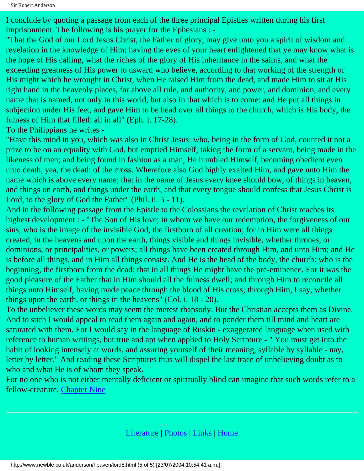I conclude by quoting a passage from each of the three principal Epistles written during his first imprisonment. The following is his prayer for the Ephesians : -

"That the God of our Lord Jesus Christ, the Father of glory, may give unto you a spirit of wisdom and revelation in the knowledge of Him; having the eyes of your heart enlightened that ye may know what is the hope of His calling, what the riches of the glory of His inheritance in the saints, and what the exceeding greatness of His power to usward who believe, according to that working of the strength of His might which he wrought in Christ, when He raised Him from the dead, and made Him to sit at His right hand in the heavenly places, far above all rule, and authority, and power, and dominion, and every name that is named, not only in this world, but also in that which is to come: and He put all things in subjection under His feet, and gave Him to be head over all things to the church, which is His body, the fulness of Him that filleth all in all" (Eph. i. 17-28).

To the Philippians he writes -

"Have this mind in you, which was also in Christ Jesus: who, being in the form of God, counted it not a prize to be on an equality with God, but emptied Himself, taking the form of a servant, being made in the likeness of men; and being found in fashion as a man, He humbled Himself, becoming obedient even unto death, yea, the death of the cross. Wherefore also God highly exalted Him, and gave unto Him the name which is above every name; that in the name of Jesus every knee should bow, of things in heaven, and things on earth, and things under the earth, and that every tongue should confess that Jesus Christ is Lord, to the glory of God the Father" (Phil. ii. 5 - 11).

And in the following passage from the Epistle to the Colossians the revelation of Christ reaches its highest development : - "The Son of His love; in whom we have our redemption, the forgiveness of our sins; who is the image of the invisible God, the firstborn of all creation; for in Him were all things created, in the heavens and upon the earth, things visible and things invisible, whether thrones, or dominions, or principalities, or powers; all things have been created through Him, and unto Him; and He is before all things, and in Him all things consist. And He is the head of the body, the church: who is the beginning, the firstborn from the dead; that in all things He might have the pre-eminence. For it was the good pleasure of the Father that in Him should all the fulness dwell; and through Him to reconcile all things unto Himself, having made peace through the blood of His cross; through Him, I say, whether things upon the earth, or things in the heavens" (Col. i. 18 - 20).

To the unbeliever these words may seem the merest rhapsody. But the Christian accepts them as Divine. And to such I would appeal to read them again and again, and to ponder them till mind and heart are saturated with them. For I would say in the language of Ruskin - exaggerated language when used with reference to human writings, but true and apt when applied to Holy Scripture - " You must get into the habit of looking intensely at words, and assuring yourself of their meaning, syllable by syllable - nay, letter by letter." And reading these Scriptures thus will dispel the last trace of unbelieving doubt as to who and what He is of whom they speak.

For no one who is not either mentally deficient or spiritually blind can imagine that such words refer to a fellow-creature. [Chapter Nine](#page-38-0)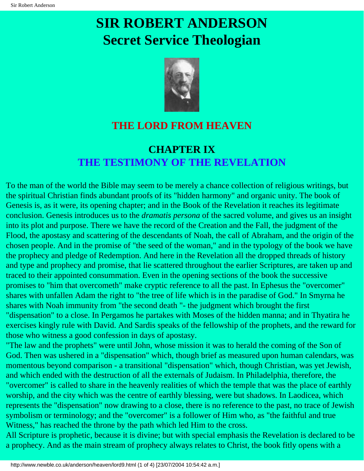

## **THE LORD FROM HEAVEN**

# <span id="page-38-0"></span>**CHAPTER IX THE TESTIMONY OF THE REVELATION**

To the man of the world the Bible may seem to be merely a chance collection of religious writings, but the spiritual Christian finds abundant proofs of its "hidden harmony" and organic unity. The book of Genesis is, as it were, its opening chapter; and in the Book of the Revelation it reaches its legitimate conclusion. Genesis introduces us to the *dramatis persona* of the sacred volume, and gives us an insight into its plot and purpose. There we have the record of the Creation and the Fall, the judgment of the Flood, the apostasy and scattering of the descendants of Noah, the call of Abraham, and the origin of the chosen people. And in the promise of "the seed of the woman," and in the typology of the book we have the prophecy and pledge of Redemption. And here in the Revelation all the dropped threads of history and type and prophecy and promise, that lie scattered throughout the earlier Scriptures, are taken up and traced to their appointed consummation. Even in the opening sections of the book the successive promises to "him that overcometh" make cryptic reference to all the past. In Ephesus the "overcomer" shares with unfallen Adam the right to "the tree of life which is in the paradise of God." In Smyrna he shares with Noah immunity from "the second death "- the judgment which brought the first "dispensation" to a close. In Pergamos he partakes with Moses of the hidden manna; and in Thyatira he exercises kingly rule with David. And Sardis speaks of the fellowship of the prophets, and the reward for those who witness a good confession in days of apostasy.

"The law and the prophets" were until John, whose mission it was to herald the coming of the Son of God. Then was ushered in a "dispensation" which, though brief as measured upon human calendars, was momentous beyond comparison - a transitional "dispensation" which, though Christian, was yet Jewish, and which ended with the destruction of all the externals of Judaism. In Philadelphia, therefore, the "overcomer" is called to share in the heavenly realities of which the temple that was the place of earthly worship, and the city which was the centre of earthly blessing, were but shadows. In Laodicea, which represents the "dispensation" now drawing to a close, there is no reference to the past, no trace of Jewish symbolism or terminology; and the "overcomer" is a follower of Him who, as "the faithful and true Witness," has reached the throne by the path which led Him to the cross.

All Scripture is prophetic, because it is divine; but with special emphasis the Revelation is declared to be a prophecy. And as the main stream of prophecy always relates to Christ, the book fitly opens with a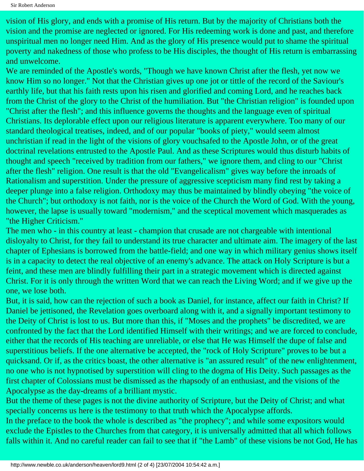vision of His glory, and ends with a promise of His return. But by the majority of Christians both the vision and the promise are neglected or ignored. For His redeeming work is done and past, and therefore unspiritual men no longer need Him. And as the glory of His presence would put to shame the spiritual poverty and nakedness of those who profess to be His disciples, the thought of His return is embarrassing and unwelcome.

We are reminded of the Apostle's words, "Though we have known Christ after the flesh, yet now we know Him so no longer." Not that the Christian gives up one jot or tittle of the record of the Saviour's earthly life, but that his faith rests upon his risen and glorified and coming Lord, and he reaches back from the Christ of the glory to the Christ of the humiliation. But "the Christian religion" is founded upon "Christ after the flesh"; and this influence governs the thoughts and the language even of spiritual Christians. Its deplorable effect upon our religious literature is apparent everywhere. Too many of our standard theological treatises, indeed, and of our popular "books of piety," would seem almost unchristian if read in the light of the visions of glory vouchsafed to the Apostle John, or of the great doctrinal revelations entrusted to the Apostle Paul. And as these Scriptures would thus disturb habits of thought and speech "received by tradition from our fathers," we ignore them, and cling to our "Christ after the flesh" religion. One result is that the old "Evangelicalism" gives way before the inroads of Rationalism and superstition. Under the pressure of aggressive scepticism many find rest by taking a deeper plunge into a false religion. Orthodoxy may thus be maintained by blindly obeying "the voice of the Church"; but orthodoxy is not faith, nor is the voice of the Church the Word of God. With the young, however, the lapse is usually toward "modernism," and the sceptical movement which masquerades as "the Higher Criticism."

The men who - in this country at least - champion that crusade are not chargeable with intentional disloyalty to Christ, for they fail to understand its true character and ultimate aim. The imagery of the last chapter of Ephesians is borrowed from the battle-field; and one way in which military genius shows itself is in a capacity to detect the real objective of an enemy's advance. The attack on Holy Scripture is but a feint, and these men are blindly fulfilling their part in a strategic movement which is directed against Christ. For it is only through the written Word that we can reach the Living Word; and if we give up the one, we lose both.

But, it is said, how can the rejection of such a book as Daniel, for instance, affect our faith in Christ? If Daniel be jettisoned, the Revelation goes overboard along with it, and a signally important testimony to the Deity of Christ is lost to us. But more than this, if "Moses and the prophets" be discredited, we are confronted by the fact that the Lord identified Himself with their writings; and we are forced to conclude, either that the records of His teaching are unreliable, or else that He was Himself the dupe of false and superstitious beliefs. If the one alternative be accepted, the "rock of Holy Scripture" proves to be but a quicksand. Or if, as the critics boast, the other alternative is "an assured result" of the new enlightenment, no one who is not hypnotised by superstition will cling to the dogma of His Deity. Such passages as the first chapter of Colossians must be dismissed as the rhapsody of an enthusiast, and the visions of the Apocalypse as the day-dreams of a brilliant mystic.

But the theme of these pages is not the divine authority of Scripture, but the Deity of Christ; and what specially concerns us here is the testimony to that truth which the Apocalypse affords.

In the preface to the book the whole is described as "the prophecy"; and while some expositors would exclude the Epistles to the Churches from that category, it is universally admitted that all which follows falls within it. And no careful reader can fail to see that if "the Lamb" of these visions be not God, He has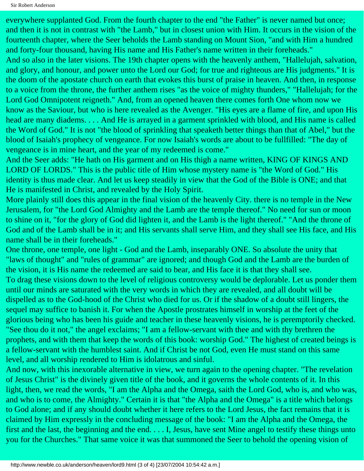everywhere supplanted God. From the fourth chapter to the end "the Father" is never named but once; and then it is not in contrast with "the Lamb," but in closest union with Him. It occurs in the vision of the fourteenth chapter, where the Seer beholds the Lamb standing on Mount Sion, "and with Him a hundred and forty-four thousand, having His name and His Father's name written in their foreheads."

And so also in the later visions. The 19th chapter opens with the heavenly anthem, "Hallelujah, salvation, and glory, and honour, and power unto the Lord our God; for true and righteous are His judgments." It is the doom of the apostate church on earth that evokes this burst of praise in heaven. And then, in response to a voice from the throne, the further anthem rises "as the voice of mighty thunders," "Hallelujah; for the Lord God Omnipotent reigneth." And, from an opened heaven there comes forth One whom now we know as the Saviour, but who is here revealed as the Avenger. "His eyes are a flame of fire, and upon His head are many diadems. . . . And He is arrayed in a garment sprinkled with blood, and His name is called the Word of God." It is not "the blood of sprinkling that speaketh better things than that of Abel," but the blood of Isaiah's prophecy of vengeance. For now Isaiah's words are about to be fullfilled: "The day of vengeance is in mine heart, and the year of my redeemed is come."

And the Seer adds: "He hath on His garment and on His thigh a name written, KING OF KINGS AND LORD OF LORDS." This is the public title of Him whose mystery name is "the Word of God." His identity is thus made clear. And let us keep steadily in view that the God of the Bible is ONE; and that He is manifested in Christ, and revealed by the Holy Spirit.

More plainly still does this appear in the final vision of the heavenly City. there is no temple in the New Jerusalem, for "the Lord God Almighty and the Lamb are the temple thereof." No need for sun or moon to shine on it, "for the glory of God did lighten it, and the Lamb is the light thereof." "And the throne of God and of the Lamb shall be in it; and His servants shall serve Him, and they shall see His face, and His name shall be in their foreheads."

One throne, one temple, one light - God and the Lamb, inseparably ONE. So absolute the unity that "laws of thought" and "rules of grammar" are ignored; and though God and the Lamb are the burden of the vision, it is His name the redeemed are said to bear, and His face it is that they shall see. To drag these visions down to the level of religious controversy would be deplorable. Let us ponder them until our minds are saturated with the very words in which they are revealed, and all doubt will be dispelled as to the God-hood of the Christ who died for us. Or if the shadow of a doubt still lingers, the sequel may suffice to banish it. For when the Apostle prostrates himself in worship at the feet of the glorious being who has been his guide and teacher in these heavenly visions, he is peremptorily checked. "See thou do it not," the angel exclaims; "I am a fellow-servant with thee and with thy brethren the prophets, and with them that keep the words of this book: worship God." The highest of created beings is a fellow-servant with the humblest saint. And if Christ be not God, even He must stand on this same level, and all worship rendered to Him is idolatrous and sinful.

And now, with this inexorable alternative in view, we turn again to the opening chapter. "The revelation of Jesus Christ" is the divinely given title of the book, and it governs the whole contents of it. In this light, then, we read the words, "I am the Alpha and the Omega, saith the Lord God, who is, and who was, and who is to come, the Almighty." Certain it is that "the Alpha and the Omega" is a title which belongs to God alone; and if any should doubt whether it here refers to the Lord Jesus, the fact remains that it is claimed by Him expressly in the concluding message of the book: "I am the Alpha and the Omega, the first and the last, the beginning and the end. . . . I, Jesus, have sent Mine angel to testify these things unto you for the Churches." That same voice it was that summoned the Seer to behold the opening vision of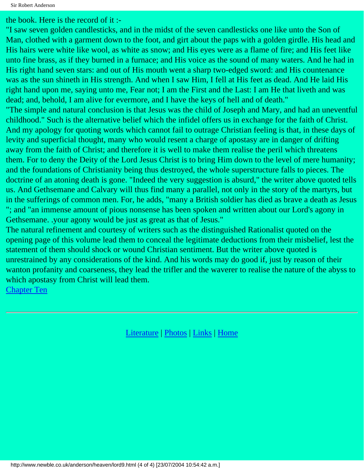the book. Here is the record of it :-

"I saw seven golden candlesticks, and in the midst of the seven candlesticks one like unto the Son of Man, clothed with a garment down to the foot, and girt about the paps with a golden girdle. His head and His hairs were white like wool, as white as snow; and His eyes were as a flame of fire; and His feet like unto fine brass, as if they burned in a furnace; and His voice as the sound of many waters. And he had in His right hand seven stars: and out of His mouth went a sharp two-edged sword: and His countenance was as the sun shineth in His strength. And when I saw Him, I fell at His feet as dead. And He laid His right hand upon me, saying unto me, Fear not; I am the First and the Last: I am He that liveth and was dead; and, behold, I am alive for evermore, and I have the keys of hell and of death." "The simple and natural conclusion is that Jesus was the child of Joseph and Mary, and had an uneventful childhood." Such is the alternative belief which the infidel offers us in exchange for the faith of Christ. And my apology for quoting words which cannot fail to outrage Christian feeling is that, in these days of

levity and superficial thought, many who would resent a charge of apostasy are in danger of drifting away from the faith of Christ; and therefore it is well to make them realise the peril which threatens

them. For to deny the Deity of the Lord Jesus Christ is to bring Him down to the level of mere humanity; and the foundations of Christianity being thus destroyed, the whole superstructure falls to pieces. The

doctrine of an atoning death is gone. "Indeed the very suggestion is absurd," the writer above quoted tells us. And Gethsemane and Calvary will thus find many a parallel, not only in the story of the martyrs, but in the sufferings of common men. For, he adds, "many a British soldier has died as brave a death as Jesus

"; and "an immense amount of pious nonsense has been spoken and written about our Lord's agony in Gethsemane. .your agony would be just as great as that of Jesus."

The natural refinement and courtesy of writers such as the distinguished Rationalist quoted on the opening page of this volume lead them to conceal the legitimate deductions from their misbelief, lest the statement of them should shock or wound Christian sentiment. But the writer above quoted is unrestrained by any considerations of the kind. And his words may do good if, just by reason of their wanton profanity and coarseness, they lead the trifler and the waverer to realise the nature of the abyss to which apostasy from Christ will lead them.

[Chapter Ten](#page-42-0)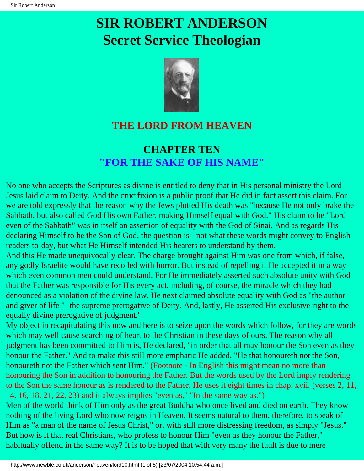

## <span id="page-42-0"></span>**THE LORD FROM HEAVEN**

# **CHAPTER TEN "FOR THE SAKE OF HIS NAME"**

No one who accepts the Scriptures as divine is entitled to deny that in His personal ministry the Lord Jesus laid claim to Deity. And the crucifixion is a public proof that He did in fact assert this claim. For we are told expressly that the reason why the Jews plotted His death was "because He not only brake the Sabbath, but also called God His own Father, making Himself equal with God." His claim to be "Lord even of the Sabbath" was in itself an assertion of equality with the God of Sinai. And as regards His declaring Himself to be the Son of God, the question is - not what these words might convey to English readers to-day, but what He Himself intended His hearers to understand by them.

And this He made unequivocally clear. The charge brought against Him was one from which, if false, any godly Israelite would have recoiled with horror. But instead of repelling it He accepted it in a way which even common men could understand. For He immediately asserted such absolute unity with God that the Father was responsible for His every act, including, of course, the miracle which they had denounced as a violation of the divine law. He next claimed absolute equality with God as "the author and giver of life "- the supreme prerogative of Deity. And, lastly, He asserted His exclusive right to the equally divine prerogative of judgment.'

My object in recapitulating this now and here is to seize upon the words which follow, for they are words which may well cause searching of heart to the Christian in these days of ours. The reason why all judgment has been committed to Him is, He declared, "in order that all may honour the Son even as they honour the Father." And to make this still more emphatic He added, "He that honoureth not the Son, honoureth not the Father which sent Him." (Footnote - In English this might mean no more than honouring the Son in addition to honouring the Father. But the words used by the Lord imply rendering to the Son the same honour as is rendered to the Father. He uses it eight times in chap. xvii. (verses 2, 11, 14, 16, 18, 21, 22, 23) and it always implies "even as," "In the same way as.")

Men of the world think of Him only as the great Buddha who once lived and died on earth. They know nothing of the living Lord who now reigns in Heaven. It seems natural to them, therefore, to speak of Him as "a man of the name of Jesus Christ," or, with still more distressing freedom, as simply "Jesus." But how is it that real Christians, who profess to honour Him "even as they honour the Father," habitually offend in the same way? It is to be hoped that with very many the fault is due to mere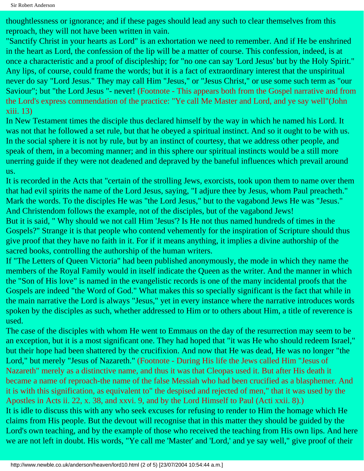thoughtlessness or ignorance; and if these pages should lead any such to clear themselves from this reproach, they will not have been written in vain.

"Sanctify Christ in your hearts as Lord" is an exhortation we need to remember. And if He be enshrined in the heart as Lord, the confession of the lip will be a matter of course. This confession, indeed, is at once a characteristic and a proof of discipleship; for "no one can say 'Lord Jesus' but by the Holy Spirit." Any lips, of course, could frame the words; but it is a fact of extraordinary interest that the unspiritual never do say "Lord Jesus." They may call Him "Jesus," or "Jesus Christ," or use some such term as "our Saviour"; but "the Lord Jesus "- never! (Footnote - This appears both from the Gospel narrative and from the Lord's express commendation of the practice: "Ye call Me Master and Lord, and ye say well"(John xiii. 13)

In New Testament times the disciple thus declared himself by the way in which he named his Lord. It was not that he followed a set rule, but that he obeyed a spiritual instinct. And so it ought to be with us. In the social sphere it is not by rule, but by an instinct of courtesy, that we address other people, and speak of them, in a becoming manner; and in this sphere our spiritual instincts would be a still more unerring guide if they were not deadened and depraved by the baneful influences which prevail around us.

It is recorded in the Acts that "certain of the strolling Jews, exorcists, took upon them to name over them that had evil spirits the name of the Lord Jesus, saying, "I adjure thee by Jesus, whom Paul preacheth." Mark the words. To the disciples He was "the Lord Jesus," but to the vagabond Jews He was "Jesus." And Christendom follows the example, not of the disciples, but of the vagabond Jews!

But it is said, " Why should we not call Him 'Jesus'? Is He not thus named hundreds of times in the Gospels?" Strange it is that people who contend vehemently for the inspiration of Scripture should thus give proof that they have no faith in it. For if it means anything, it implies a divine authorship of the sacred books, controlling the authorship of the human writers.

If "The Letters of Queen Victoria" had been published anonymously, the mode in which they name the members of the Royal Family would in itself indicate the Queen as the writer. And the manner in which the "Son of His love" is named in the evangelistic records is one of the many incidental proofs that the Gospels are indeed "the Word of God." What makes this so specially significant is the fact that while in the main narrative the Lord is always "Jesus," yet in every instance where the narrative introduces words spoken by the disciples as such, whether addressed to Him or to others about Him, a title of reverence is used.

The case of the disciples with whom He went to Emmaus on the day of the resurrection may seem to be an exception, but it is a most significant one. They had hoped that "it was He who should redeem Israel," but their hope had been shattered by the crucifixion. And now that He was dead, He was no longer "the Lord," but merely "Jesus of Nazareth." (Footnote - During His life the Jews called Him "Jesus of Nazareth" merely as a distinctive name, and thus it was that Cleopas used it. But after His death it became a name of reproach-the name of the false Messiah who had been crucified as a blasphemer. And it is with this signification, as equivalent to" the despised and rejected of men," that it was used by the Apostles in Acts ii. 22, x. 38, and xxvi. 9, and by the Lord Himself to Paul (Acti xxii. 8).) It is idle to discuss this with any who seek excuses for refusing to render to Him the homage which He claims from His people. But the devout will recognise that in this matter they should be guided by the Lord's own teaching, and by the example of those who received the teaching from His own lips. And here we are not left in doubt. His words, "Ye call me 'Master' and 'Lord,' and ye say well," give proof of their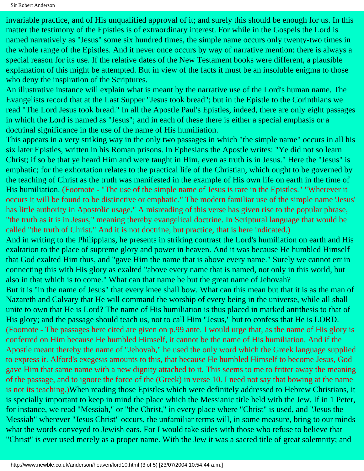invariable practice, and of His unqualified approval of it; and surely this should be enough for us. In this matter the testimony of the Epistles is of extraordinary interest. For while in the Gospels the Lord is named narratively as "Jesus" some six hundred times, the simple name occurs only twenty-two times in the whole range of the Epistles. And it never once occurs by way of narrative mention: there is always a special reason for its use. If the relative dates of the New Testament books were different, a plausible explanation of this might be attempted. But in view of the facts it must be an insoluble enigma to those who deny the inspiration of the Scriptures.

An illustrative instance will explain what is meant by the narrative use of the Lord's human name. The Evangelists record that at the Last Supper "Jesus took bread"; but in the Epistle to the Corinthians we read "The Lord Jesus took bread." In all the Apostle Paul's Epistles, indeed, there are only eight passages in which the Lord is named as "Jesus"; and in each of these there is either a special emphasis or a doctrinal significance in the use of the name of His humiliation.

This appears in a very striking way in the only two passages in which "the simple name" occurs in all his six later Epistles, written in his Roman prisons. In Ephesians the Apostle writes: "Ye did not so learn Christ; if so be that ye heard Him and were taught in Him, even as truth is in Jesus." Here the "Jesus" is emphatic; for the exhortation relates to the practical life of the Christian, which ought to be governed by the teaching of Christ as the truth was manifested in the example of His own life on earth in the time of His humiliation. (Footnote - "The use of the simple name of Jesus is rare in the Epistles." "Wherever it occurs it will be found to be distinctive or emphatic." The modern familiar use of the simple name 'Jesus' has little authority in Apostolic usage." A misreading of this verse has given rise to the popular phrase, "the truth as it is in Jesus," meaning thereby evangelical doctrine. In Scriptural language that would be called "the truth of Christ." And it is not doctrine, but practice, that is here indicated.)

And in writing to the Philippians, he presents in striking contrast the Lord's humiliation on earth and His exaltation to the place of supreme glory and power in heaven. And it was because He humbled Himself that God exalted Him thus, and "gave Him the name that is above every name." Surely we cannot err in connecting this with His glory as exalted "above every name that is named, not only in this world, but also in that which is to come." What can that name be but the great name of Jehovah?

But it is "in the name of Jesus" that every knee shall bow. What can this mean but that it is as the man of Nazareth and Calvary that He will command the worship of every being in the universe, while all shall unite to own that He is Lord? The name of His humiliation is thus placed in marked antithesis to that of His glory; and the passage should teach us, not to call Him "Jesus," but to confess that He is LORD. (Footnote - The passages here cited are given on p.99 ante. I would urge that, as the name of His glory is conferred on Him because He humbled Himself, it cannot be the name of His humiliation. And if the Apostle meant thereby the name of "Jehovah," he used the only word which the Greek language supplied to express it. Alford's exegesis amounts to this, that because He humbled Himself to become Jesus, God gave Him that same name with a new dignity attached to it. This seems to me to fritter away the meaning of the passage, and to ignore the force of the (Greek) in verse 10. I need not say that bowing at the name is not its teaching.)When reading those Epistles which were definitely addressed to Hebrew Christians, it is specially important to keep in mind the place which the Messianic title held with the Jew. If in 1 Peter, for instance, we read "Messiah," or "the Christ," in every place where "Christ" is used, and "Jesus the Messiah" wherever "Jesus Christ" occurs, the unfamiliar terms will, in some measure, bring to our minds what the words conveyed to Jewish ears. For I would take sides with those who refuse to believe that "Christ" is ever used merely as a proper name. With the Jew it was a sacred title of great solemnity; and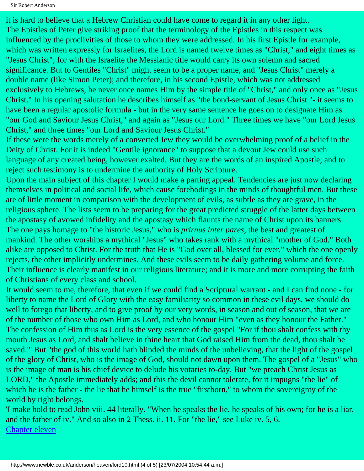Sir Robert Anderson

it is hard to believe that a Hebrew Christian could have come to regard it in any other light. The Epistles of Peter give striking proof that the terminology of the Epistles in this respect was influenced by the proclivities of those to whom they were addressed. In his first Epistle for example, which was written expressly for Israelites, the Lord is named twelve times as "Christ," and eight times as "Jesus Christ"; for with the Israelite the Messianic title would carry its own solemn and sacred significance. But to Gentiles "Christ" might seem to be a proper name, and "Jesus Christ" merely a double name (like Simon Peter); and therefore, in his second Epistle, which was not addressed exclusively to Hebrews, he never once names Him by the simple title of "Christ," and only once as "Jesus Christ." In his opening salutation he describes himself as "the bond-servant of Jesus Christ "- it seems to have been a regular apostolic formula - but in the very same sentence he goes on to designate Him as "our God and Saviour Jesus Christ," and again as "Jesus our Lord." Three times we have "our Lord Jesus Christ," and three times "our Lord and Saviour Jesus Christ."

If these were the words merely of a converted Jew they would be overwhelming proof of a belief in the Deity of Christ. For it is indeed "Gentile ignorance" to suppose that a devout Jew could use such language of any created being, however exalted. But they are the words of an inspired Apostle; and to reject such testimony is to undermine the authority of Holy Scripture.

Upon the main subject of this chapter I would make a parting appeal. Tendencies are just now declaring themselves in political and social life, which cause forebodings in the minds of thoughtful men. But these are of little moment in comparison with the development of evils, as subtle as they are grave, in the religious sphere. The lists seem to be preparing for the great predicted struggle of the latter days between the apostasy of avowed infidelity and the apostasy which flaunts the name of Christ upon its banners. The one pays homage to "the historic Jesus," who is *prirnus inter pares*, the best and greatest of mankind. The other worships a mythical "Jesus" who takes rank with a mythical "mother of God." Both alike are opposed to Christ. For the truth that He is "God over all, blessed for ever," which the one openly rejects, the other implicitly undermines. And these evils seem to be daily gathering volume and force. Their influence is clearly manifest in our religious literature; and it is more and more corrupting the faith of Christians of every class and school.

It would seem to me, therefore, that even if we could find a Scriptural warrant - and I can find none - for liberty to name the Lord of Glory with the easy familiarity so common in these evil days, we should do well to forego that liberty, and to give proof by our very words, in season and out of season, that we are of the number of those who own Him as Lord, and who honour Him "even as they honour the Father." The confession of Him thus as Lord is the very essence of the gospel "For if thou shalt confess with thy mouth Jesus as Lord, and shalt believe in thine heart that God raised Him from the dead, thou shalt be saved."' But "the god of this world hath blinded the minds of the unbelieving, that the light of the gospel of the glory of Christ, who is the image of God, should not dawn upon them. The gospel of a "Jesus" who is the image of man is his chief device to delude his votaries to-day. But "we preach Christ Jesus as LORD," the Apostle immediately adds; and this the devil cannot tolerate, for it impugns "the lie" of which he is the father - the lie that he himself is the true "firstborn," to whom the sovereignty of the world by right belongs.

'I make bold to read John viii. 44 literally. "When he speaks the lie, he speaks of his own; for he is a liar, and the father of iv." And so also in 2 Thess. ii. 11. For "the lie," see Luke iv. 5, 6. [Chapter eleven](#page-47-0)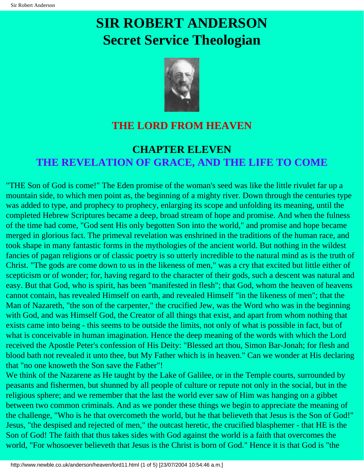

## **THE LORD FROM HEAVEN**

# <span id="page-47-0"></span>**CHAPTER ELEVEN THE REVELATION OF GRACE, AND THE LIFE TO COME**

"THE Son of God is come!" The Eden promise of the woman's seed was like the little rivulet far up a mountain side, to which men point as, the beginning of a mighty river. Down through the centuries type was added to type, and prophecy to prophecy, enlarging its scope and unfolding its meaning, until the completed Hebrew Scriptures became a deep, broad stream of hope and promise. And when the fulness of the time had come, "God sent His only begotten Son into the world," and promise and hope became merged in glorious fact. The primeval revelation was enshrined in the traditions of the human race, and took shape in many fantastic forms in the mythologies of the ancient world. But nothing in the wildest fancies of pagan religions or of classic poetry is so utterly incredible to the natural mind as is the truth of Christ. "The gods are come down to us in the likeness of men," was a cry that excited but little either of scepticism or of wonder; for, having regard to the character of their gods, such a descent was natural and easy. But that God, who is spirit, has been "manifested in flesh"; that God, whom the heaven of heavens cannot contain, has revealed Himself on earth, and revealed Himself "in the likeness of men"; that the Man of Nazareth, "the son of the carpenter," the crucified Jew, was the Word who was in the beginning with God, and was Himself God, the Creator of all things that exist, and apart from whom nothing that exists came into being - this seems to be outside the limits, not only of what is possible in fact, but of what is conceivable in human imagination. Hence the deep meaning of the words with which the Lord received the Apostle Peter's confession of His Deity: "Blessed art thou, Simon Bar-Jonah; for flesh and blood bath not revealed it unto thee, but My Father which is in heaven." Can we wonder at His declaring that "no one knoweth the Son save the Father"!

We think of the Nazarene as He taught by the Lake of Galilee, or in the Temple courts, surrounded by peasants and fishermen, but shunned by all people of culture or repute not only in the social, but in the religious sphere; and we remember that the last the world ever saw of Him was hanging on a gibbet between two common criminals. And as we ponder these things we begin to appreciate the meaning of the challenge, "Who is he that overcometh the world, but he that believeth that Jesus is the Son of God!" Jesus, "the despised and rejected of men," the outcast heretic, the crucified blasphemer - that HE is the Son of God! The faith that thus takes sides with God against the world is a faith that overcomes the world, "For whosoever believeth that Jesus is the Christ is born of God." Hence it is that God is "the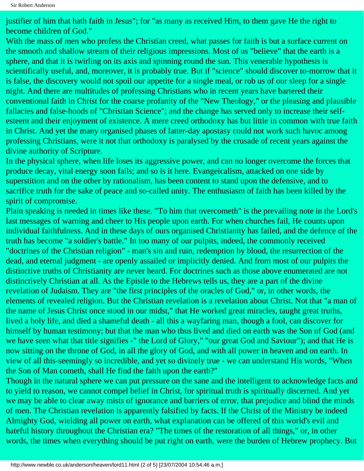justifier of him that hath faith in Jesus"; for "as many as received Him, to them gave He the right to become children of God."

With the mass of men who profess the Christian creed, what passes for faith is but a surface current on the smooth and shallow stream of their religious impressions. Most of us "believe" that the earth is a sphere, and that it is twirling on its axis and spinning round the sun. This venerable hypothesis is scientifically useful, and, moreover, it is probably true. But if "science" should discover to-morrow that it is false, the discovery would not spoil our appetite for a single meal, or rob us of our sleep for a single night. And there are multitudes of professing Christians who in recent years have bartered their conventional faith in Christ for the coarse profanity of the "New Theology," or the pleasing and plausible fallacies and false-hoods of "Christian Science"; and the change has served only to increase their selfesteem and their enjoyment of existence. A mere creed orthodoxy has but little in common with true faith in Christ. And yet the many organised phases of latter-day apostasy could not work such havoc among professing Christians, were it not that orthodoxy is paralysed by the crusade of recent years against the divine authority of Scripture.

In the physical sphere, when life loses its aggressive power, and can no longer overcome the forces that produce decay, vital energy soon fails; and so is it here. Evangeicalism, attacked on one side by superstition and on the other by rationalism, has been content to stand upon the defensive, and to sacrifice truth for the sake of peace and so-called unity. The enthusiasm of faith has been killed by the spirit of compromise.

Plain speaking is needed in times like these. "To him that overcometh" is the prevailing note in the Lord's last messages of warning and cheer to His people upon earth. For when churches fail, He counts upon individual faithfulness. And in these days of ours organised Christianity has failed, and the defence of the truth has become "a soldier's battle." In too many of our pulpits, indeed, the commonly received "doctrines of the Christian religion" - man's sin and ruin, redemption by blood, the resurrection of the dead, and eternal judgment - are openly assailed or implicitly denied. And from most of our pulpits the distinctive truths of Christianity are never heard. For doctrines such as those above enumerated are not distinctively Christian at all. As the Epistle to the Hebrews tells us, they are a part of the divine revelation of Judaism. They are "the first principles of the oracles of God," or, in other words, the elements of revealed religion. But the Christian revelation is a revelation about Christ. Not that "a man of the name of Jesus Christ once stood in our midst," that He worked great miracles, taught great truths, lived a holy life, and died a shameful death - all this a wayfaring man, though a fool, can discover for himself by human testimony; but that the man who thus lived and died on earth was the Son of God (and we have seen what that title signifies -" the Lord of Glory," "our great God and Saviour"); and that He is now sitting on the throne of God, in all the glory of God, and with all power in heaven and on earth. In view of all this-seemingly so incredible, and yet so divinely true - we can understand His words, "When the Son of Man cometh, shall He find the faith upon the earth?"

Though in the natural sphere we can put pressure on the sane and the intelligent to acknowledge facts and to yield to reason, we cannot compel belief in Christ, for spiritual truth is spiritually discerned. And yet we may be able to clear away mists of ignorance and barriers of error, that prejudice and blind the minds of men. The Christian revelation is apparently falsified by facts. If the Christ of the Ministry be indeed Almighty God, wielding all power on earth, what explanation can be offered of this world's evil and hateful history throughout the Christian era? "The times of the restoration of all things," or, in other words, the times when everything should be put right on earth, were the burden of Hebrew prophecy. But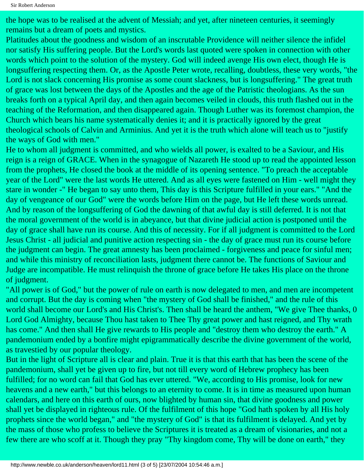the hope was to be realised at the advent of Messiah; and yet, after nineteen centuries, it seemingly remains but a dream of poets and mystics.

Platitudes about the goodness and wisdom of an inscrutable Providence will neither silence the infidel nor satisfy His suffering people. But the Lord's words last quoted were spoken in connection with other words which point to the solution of the mystery. God will indeed avenge His own elect, though He is longsuffering respecting them. Or, as the Apostle Peter wrote, recalling, doubtless, these very words, "the Lord is not slack concerning His promise as some count slackness, but is longsuffering." The great truth of grace was lost between the days of the Apostles and the age of the Patristic theologians. As the sun breaks forth on a typical April day, and then again becomes veiled in clouds, this truth flashed out in the teaching of the Reformation, and then disappeared again. Though Luther was its foremost champion, the Church which bears his name systematically denies it; and it is practically ignored by the great theological schools of Calvin and Arminius. And yet it is the truth which alone will teach us to "justify the ways of God with men."

He to whom all judgment is committed, and who wields all power, is exalted to be a Saviour, and His reign is a reign of GRACE. When in the synagogue of Nazareth He stood up to read the appointed lesson from the prophets, He closed the book at the middle of its opening sentence. "To preach the acceptable year of the Lord" were the last words He uttered. And as all eyes were fastened on Him - well might they stare in wonder -" He began to say unto them, This day is this Scripture fulfilled in your ears." "And the day of vengeance of our God" were the words before Him on the page, but He left these words unread. And by reason of the longsuffering of God the dawning of that awful day is still deferred. It is not that the moral government of the world is in abeyance, but that divine judicial action is postponed until the day of grace shall have run its course. And this of necessity. For if all judgment is committed to the Lord Jesus Christ - all judicial and punitive action respecting sin - the day of grace must run its course before the judgment can begin. The great amnesty has been proclaimed - forgiveness and peace for sinful men; and while this ministry of reconciliation lasts, judgment there cannot be. The functions of Saviour and Judge are incompatible. He must relinquish the throne of grace before He takes His place on the throne of judgment.

"All power is of God," but the power of rule on earth is now delegated to men, and men are incompetent and corrupt. But the day is coming when "the mystery of God shall be finished," and the rule of this world shall become our Lord's and His Christ's. Then shall be heard the anthem, "We give Thee thanks, 0 Lord God Almighty, because Thou hast taken to Thee Thy great power and hast reigned, and Thy wrath has come." And then shall He give rewards to His people and "destroy them who destroy the earth." A pandemonium ended by a bonfire might epigrammatically describe the divine government of the world, as travestied by our popular theology.

But in the light of Scripture all is clear and plain. True it is that this earth that has been the scene of the pandemonium, shall yet be given up to fire, but not till every word of Hebrew prophecy has been fulfilled; for no word can fail that God has ever uttered. "We, according to His promise, look for new heavens and a new earth," but this belongs to an eternity to come. It is in time as measured upon human calendars, and here on this earth of ours, now blighted by human sin, that divine goodness and power shall yet be displayed in righteous rule. Of the fulfilment of this hope "God hath spoken by all His holy prophets since the world began," and "the mystery of God" is that its fulfilment is delayed. And yet by the mass of those who profess to believe the Scriptures it is treated as a dream of visionaries, and not a few there are who scoff at it. Though they pray "Thy kingdom come, Thy will be done on earth," they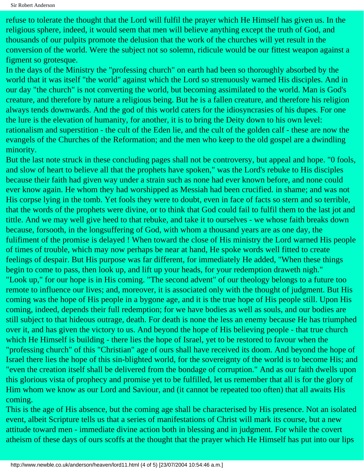refuse to tolerate the thought that the Lord will fulfil the prayer which He Himself has given us. In the religious sphere, indeed, it would seem that men will believe anything except the truth of God, and thousands of our pulpits promote the delusion that the work of the churches will yet result in the conversion of the world. Were the subject not so solemn, ridicule would be our fittest weapon against a figment so grotesque.

In the days of the Ministry the "professing church" on earth had been so thoroughly absorbed by the world that it was itself "the world" against which the Lord so strenuously warned His disciples. And in our day "the church" is not converting the world, but becoming assimilated to the world. Man is God's creature, and therefore by nature a religious being. But he is a fallen creature, and therefore his religion always tends downwards. And the god of this world caters for the idiosyncrasies of his dupes. For one the lure is the elevation of humanity, for another, it is to bring the Deity down to his own level: rationalism and superstition - the cult of the Eden lie, and the cult of the golden calf - these are now the evangels of the Churches of the Reformation; and the men who keep to the old gospel are a dwindling minority.

But the last note struck in these concluding pages shall not be controversy, but appeal and hope. "0 fools, and slow of heart to believe all that the prophets have spoken," was the Lord's rebuke to His disciples because their faith had given way under a strain such as none had ever known before, and none could ever know again. He whom they had worshipped as Messiah had been crucified. in shame; and was not His corpse lying in the tomb. Yet fools they were to doubt, even in face of facts so stern and so terrible, that the words of the prophets were divine, or to think that God could fail to fulfil them to the last jot and tittle. And we may well give heed to that rebuke, and take it to ourselves - we whose faith breaks down because, forsooth, in the longsuffering of God, with whom a thousand years are as one day, the fulifiment of the promise is delayed ! When toward the close of His ministry the Lord warned His people of times of trouble, which may now perhaps be near at hand, He spoke words well fitted to create feelings of despair. But His purpose was far different, for immediately He added, "When these things begin to come to pass, then look up, and lift up your heads, for your redemption draweth nigh." "Look up," for our hope is in His coming. "The second advent" of our theology belongs to a future too remote to influence our lives; and, moreover, it is associated only with the thought of judgment. But His coming was the hope of His people in a bygone age, and it is the true hope of His people still. Upon His coming, indeed, depends their full redemption; for we have bodies as well as souls, and our bodies are still subject to that hideous outrage, death. For death is none the less an enemy because He has triumphed over it, and has given the victory to us. And beyond the hope of His believing people - that true church which He Himself is building - there lies the hope of Israel, yet to be restored to favour when the "professing church" of this "Christian" age of ours shall have received its doom. And beyond the hope of Israel there lies the hope of this sin-blighted world, for the sovereignty of the world is to become His; and "even the creation itself shall be delivered from the bondage of corruption." And as our faith dwells upon this glorious vista of prophecy and promise yet to be fulfilled, let us remember that all is for the glory of Him whom we know as our Lord and Saviour, and (it cannot be repeated too often) that all awaits His coming.

This is the age of His absence, but the coming age shall be characterised by His presence. Not an isolated event, albeit Scripture tells us that a series of manifestations of Christ will mark its course, but a new attitude toward men - immediate divine action both in blessing and in judgment. For while the covert atheism of these days of ours scoffs at the thought that the prayer which He Himself has put into our lips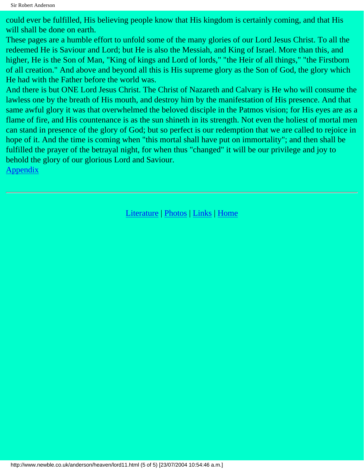could ever be fulfilled, His believing people know that His kingdom is certainly coming, and that His will shall be done on earth.

These pages are a humble effort to unfold some of the many glories of our Lord Jesus Christ. To all the redeemed He is Saviour and Lord; but He is also the Messiah, and King of Israel. More than this, and higher, He is the Son of Man, "King of kings and Lord of lords," "the Heir of all things," "the Firstborn of all creation." And above and beyond all this is His supreme glory as the Son of God, the glory which He had with the Father before the world was.

And there is but ONE Lord Jesus Christ. The Christ of Nazareth and Calvary is He who will consume the lawless one by the breath of His mouth, and destroy him by the manifestation of His presence. And that same awful glory it was that overwhelmed the beloved disciple in the Patmos vision; for His eyes are as a flame of fire, and His countenance is as the sun shineth in its strength. Not even the holiest of mortal men can stand in presence of the glory of God; but so perfect is our redemption that we are called to rejoice in hope of it. And the time is coming when "this mortal shall have put on immortality"; and then shall be fulfilled the prayer of the betrayal night, for when thus "changed" it will be our privilege and joy to behold the glory of our glorious Lord and Saviour.

[Appendix](#page-52-0)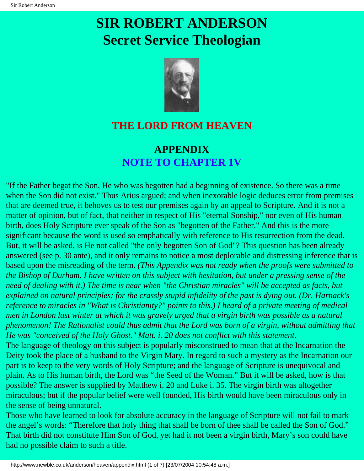

# <span id="page-52-0"></span>**THE LORD FROM HEAVEN**

# **APPENDIX NOTE TO CHAPTER 1V**

"If the Father begat the Son, He who was begotten had a beginning of existence. So there was a time when the Son did not exist." Thus Arius argued; and when inexorable logic deduces error from premises that are deemed true, it behoves us to test our premises again by an appeal to Scripture. And it is not a matter of opinion, but of fact, that neither in respect of His "eternal Sonship," nor even of His human birth, does Holy Scripture ever speak of the Son as "begotten of the Father." And this is the more significant because the word is used so emphatically with reference to His resurrection from the dead. But, it will be asked, is He not called "the only begotten Son of God"? This question has been already answered (see p. 30 ante), and it only remains to notice a most deplorable and distressing inference that is based upon the misreading of the term. *(This Appendix was not ready when the proofs were submitted to the Bishop of Durham. I have written on this subject with hesitation, but under a pressing sense of the need of dealing with it.) The time is near when "the Christian miracles" will be accepted as facts, but explained on natural principles; for the crassly stupid infidelity of the past is dying out. (Dr. Harnack's reference to miracles in "What is Christianity?" points to this.) I heard of a private meeting of medical men in London last winter at which it was gravely urged that a virgin birth was possible as a natural phenomenon! The Rationalist could thus admit that the Lord was born of a virgin, without admitting that He was "conceived of the Holy Ghost." Matt. i. 20 does not conflict with this statement.*

The language of theology on this subject is popularly misconstrued to mean that at the Incarnation the Deity took the place of a husband to the Virgin Mary. In regard to such a mystery as the Incarnation our part is to keep to the very words of Holy Scripture; and the language of Scripture is unequivocal and plain. As to His human birth, the Lord was "the Seed of the Woman." But it will be asked, how is that possible? The answer is supplied by Matthew i. 20 and Luke i. 35. The virgin birth was altogether miraculous; but if the popular belief were well founded, His birth would have been miraculous only in the sense of being unnatural.

Those who have learned to look for absolute accuracy in the language of Scripture will not fail to mark the angel's words: "Therefore that holy thing that shall be born of thee shall be called the Son of God." That birth did not constitute Him Son of God, yet had it not been a virgin birth, Mary's son could have had no possible claim to such a title.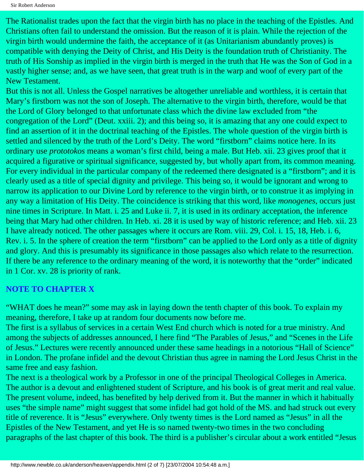Sir Robert Anderson

The Rationalist trades upon the fact that the virgin birth has no place in the teaching of the Epistles. And Christians often fail to understand the omission. But the reason of it is plain. While the rejection of the virgin birth would undermine the faith, the acceptance of it (as Unitarianism abundantly proves) is compatible with denying the Deity of Christ, and His Deity is the foundation truth of Christianity. The truth of His Sonship as implied in the virgin birth is merged in the truth that He was the Son of God in a vastly higher sense; and, as we have seen, that great truth is in the warp and woof of every part of the New Testament.

But this is not all. Unless the Gospel narratives be altogether unreliable and worthless, it is certain that Mary's firstborn was not the son of Joseph. The alternative to the virgin birth, therefore, would be that the Lord of Glory belonged to that unfortunate class which the divine law excluded from "the congregation of the Lord" (Deut. xxiii. 2); and this being so, it is amazing that any one could expect to find an assertion of it in the doctrinal teaching of the Epistles. The whole question of the virgin birth is settled and silenced by the truth of the Lord's Deity. The word "firstborn" claims notice here. In its ordinary use *prototokos* means a woman's first child, being a male. But Heb. xii. 23 gives proof that it acquired a figurative or spiritual significance, suggested by, but wholly apart from, its common meaning. For every individual in the particular company of the redeemed there designated is a "firstborn"; and it is clearly used as a title of special dignity and privilege. This being so, it would be ignorant and wrong to narrow its application to our Divine Lord by reference to the virgin birth, or to construe it as implying in any way a limitation of His Deity. The coincidence is striking that this word, like *monogenes*, occurs just nine times in Scripture. In Matt. i. 25 and Luke ii. 7, it is used in its ordinary acceptation, the inference being that Mary had other children. In Heb. xi. 28 it is used by way of historic reference; and Heb. xii. 23 I have already noticed. The other passages where it occurs are Rom. viii. 29, Col. i. 15, 18, Heb. i. 6, Rev. i. 5. In the sphere of creation the term "firstborn" can be applied to the Lord only as a title of dignity and glory. And this is presumably its significance in those passages also which relate to the resurrection. If there be any reference to the ordinary meaning of the word, it is noteworthy that the "order" indicated in 1 Cor. xv. 28 is priority of rank.

### **NOTE TO CHAPTER X**

"WHAT does he mean?" some may ask in laying down the tenth chapter of this book. To explain my meaning, therefore, I take up at random four documents now before me.

The first is a syllabus of services in a certain West End church which is noted for a true ministry. And among the subjects of addresses announced, I here find "The Parables of Jesus," and "Scenes in the Life of Jesus." Lectures were recently announced under these same headings in a notorious "Hall of Science" in London. The profane infidel and the devout Christian thus agree in naming the Lord Jesus Christ in the same free and easy fashion.

The next is a theological work by a Professor in one of the principal Theological Colleges in America. The author is a devout and enlightened student of Scripture, and his book is of great merit and real value. The present volume, indeed, has benefited by help derived from it. But the manner in which it habitually uses "the simple name" might suggest that some infidel had got hold of the MS. and had struck out every title of reverence. It is "Jesus" everywhere. Only twenty times is the Lord named as "Jesus" in all the Epistles of the New Testament, and yet He is so named twenty-two times in the two concluding paragraphs of the last chapter of this book. The third is a publisher's circular about a work entitled "Jesus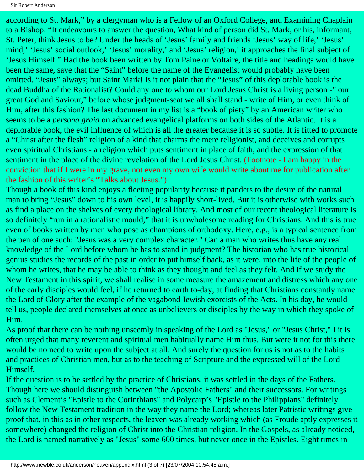according to St. Mark," by a clergyman who is a Fellow of an Oxford College, and Examining Chaplain to a Bishop. "It endeavours to answer the question, What kind of person did St. Mark, or his, informant, St. Peter, think Jesus to be? Under the heads of 'Jesus' family and friends 'Jesus' way of life,' 'Jesus' mind,' 'Jesus' social outlook,' 'Jesus' morality,' and 'Jesus' religion,' it approaches the final subject of 'Jesus Himself." Had the book been written by Tom Paine or Voltaire, the title and headings would have been the same, save that the "Saint" before the name of the Evangelist would probably have been omitted. "Jesus" always; but Saint Mark! Is it not plain that the "Jesus" of this deplorable book is the dead Buddha of the Rationalist? Could any one to whom our Lord Jesus Christ is a living person -" our great God and Saviour," before whose judgment-seat we all shall stand - write of Him, or even think of Him, after this fashion? The last document in my list is a "book of piety" by an American writer who seems to be a *persona graia* on advanced evangelical platforms on both sides of the Atlantic. It is a deplorable book, the evil influence of which is all the greater because it is so subtle. It is fitted to promote a "Christ after the flesh" religion of a kind that charms the mere religionist, and deceives and corrupts even spiritual Christians - a religion which puts sentiment in place of faith, and the expression of that sentiment in the place of the divine revelation of the Lord Jesus Christ. (Footnote - I am happy in the conviction that if I were in my grave, not even my own wife would write about me for publication after the fashion of this writer's "Talks about Jesus.")

Though a book of this kind enjoys a fleeting popularity because it panders to the desire of the natural man to bring "Jesus" down to his own level, it is happily short-lived. But it is otherwise with works such as find a place on the shelves of every theological library. And most of our recent theological literature is so definitely "run in a rationalistic mould," that it is unwholesome reading for Christians. And this is true even of books written by men who pose as champions of orthodoxy. Here, e.g., is a typical sentence from the pen of one such: "Jesus was a very complex character." Can a man who writes thus have any real knowledge of the Lord before whom he has to stand in judgment? The historian who has true historical genius studies the records of the past in order to put himself back, as it were, into the life of the people of whom he writes, that he may be able to think as they thought and feel as they felt. And if we study the New Testament in this spirit, we shall realise in some measure the amazement and distress which any one of the early disciples would feel, if he returned to earth to-day, at finding that Christians constantly name the Lord of Glory after the example of the vagabond Jewish exorcists of the Acts. In his day, he would tell us, people declared themselves at once as unbelievers or disciples by the way in which they spoke of Him.

As proof that there can be nothing unseemly in speaking of the Lord as "Jesus," or "Jesus Christ," I it is often urged that many reverent and spiritual men habitually name Him thus. But were it not for this there would be no need to write upon the subject at all. And surely the question for us is not as to the habits and practices of Christian men, but as to the teaching of Scripture and the expressed will of the Lord Himself.

If the question is to be settled by the practice of Christians, it was settled in the days of the Fathers. Though here we should distinguish between "the Apostolic Fathers" and their successors. For writings such as Clement's "Epistle to the Corinthians" and Polycarp's "Epistle to the Philippians" definitely follow the New Testament tradition in the way they name the Lord; whereas later Patristic writings give proof that, in this as in other respects, the leaven was already working which (as Froude aptly expresses it somewhere) changed the religion of Christ into the Christian religion. In the Gospels, as already noticed, the Lord is named narratively as "Jesus" some 600 times, but never once in the Epistles. Eight times in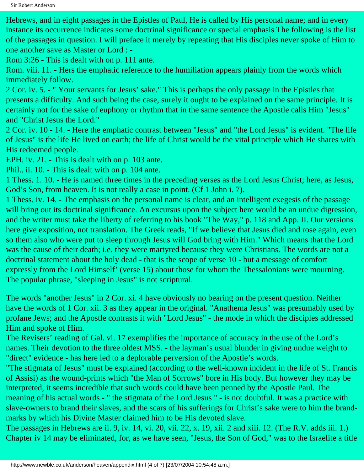Hebrews, and in eight passages in the Epistles of Paul, He is called by His personal name; and in every instance its occurrence indicates some doctrinal significance or special emphasis The following is the list of the passages in question. I will preface it merely by repeating that His disciples never spoke of Him to one another save as Master or Lord : -

Rom 3:26 - This is dealt with on p. 111 ante.

Rom. viii. 11. - Hers the emphatic reference to the humiliation appears plainly from the words which immediately follow.

2 Cor. iv. 5. - " Your servants for Jesus' sake." This is perhaps the only passage in the Epistles that presents a difficulty. And such being the case, surely it ought to be explained on the same principle. It is certainly not for the sake of euphony or rhythm that in the same sentence the Apostle calls Him "Jesus" and "Christ Jesus the Lord."

2 Cor. iv. 10 - 14. - Here the emphatic contrast between "Jesus" and "the Lord Jesus" is evident. "The life of Jesus" is the life He lived on earth; the life of Christ would be the vital principle which He shares with His redeemed people.

EPH. iv. 21. - This is dealt with on p. 103 ante.

Phil.. ii. 10. - This is dealt with on p. 104 ante.

1 Thess. 1. 10. - He is named three times in the preceding verses as the Lord Jesus Christ; here, as Jesus, God's Son, from heaven. It is not really a case in point. (Cf 1 John i. 7).

1 Thess. iv. 14. - The emphasis on the personal name is clear, and an intelligent exegesis of the passage will bring out its doctrinal significance. An excursus upon the subject here would be an undue digression, and the writer must take the liberty of referring to his book "The Way," p. 118 and App. II. Our versions here give exposition, not translation. The Greek reads, "If we believe that Jesus died and rose again, even so them also who were put to sleep through Jesus will God bring with Him." Which means that the Lord was the cause of their death; i.e. they were martyred because they were Christians. The words are not a doctrinal statement about the holy dead - that is the scope of verse 10 - but a message of comfort expressly from the Lord Himself' (verse 15) about those for whom the Thessalonians were mourning. The popular phrase, "sleeping in Jesus" is not scriptural.

The words "another Jesus" in 2 Cor. xi. 4 have obviously no bearing on the present question. Neither have the words of 1 Cor. xii. 3 as they appear in the original. "Anathema Jesus" was presumably used by profane Jews; and the Apostle contrasts it with "Lord Jesus" - the mode in which the disciples addressed Him and spoke of Him.

The Revisers' reading of Gal. vi. 17 exemplifies the importance of accuracy in the use of the Lord's names. Their devotion to the three oldest MSS. - the layman's usual blunder in giving undue weight to "direct" evidence - has here led to a deplorable perversion of the Apostle's words.

"The stigmata of Jesus" must be explained (according to the well-known incident in the life of St. Francis of Assisi) as the wound-prints which "the Man of Sorrows" bore in His body. But however they may be interpreted, it seems incredible that such words could have been penned by the Apostle Paul. The meaning of his actual words - " the stigmata of the Lord Jesus " - is not doubtful. It was a practice with slave-owners to brand their slaves, and the scars of his sufferings for Christ's sake were to him the brandmarks by which his Divine Master claimed him to be His devoted slave.

The passages in Hebrews are ii. 9, iv. 14, vi. 20, vii. 22, x. 19, xii. 2 and xiii. 12. (The R.V. adds iii. 1.) Chapter iv 14 may be eliminated, for, as we have seen, "Jesus, the Son of God," was to the Israelite a title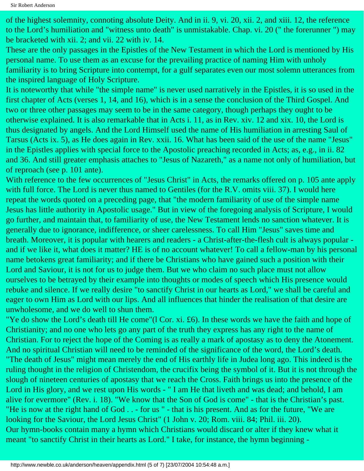of the highest solemnity, connoting absolute Deity. And in ii. 9, vi. 20, xii. 2, and xiii. 12, the reference to the Lord's humiliation and "witness unto death" is unmistakable. Chap. vi. 20 (" the forerunner ") may be bracketed with xii. 2; and vii. 22 with iv. 14.

These are the only passages in the Epistles of the New Testament in which the Lord is mentioned by His personal name. To use them as an excuse for the prevailing practice of naming Him with unholy familiarity is to bring Scripture into contempt, for a gulf separates even our most solemn utterances from the inspired language of Holy Scripture.

It is noteworthy that while "the simple name" is never used narratively in the Epistles, it is so used in the first chapter of Acts (verses 1, 14, and 16), which is in a sense the conclusion of the Third Gospel. And two or three other passages may seem to be in the same category, though perhaps they ought to be otherwise explained. It is also remarkable that in Acts i. 11, as in Rev. xiv. 12 and xix. 10, the Lord is thus designated by angels. And the Lord Himself used the name of His humiliation in arresting Saul of Tarsus (Acts ix. 5), as He does again in Rev. xxii. 16. What has been said of the use of the name "Jesus" in the Epistles applies with special force to the Apostolic preaching recorded in Acts; as, e.g., in ii. 82 and 36. And still greater emphasis attaches to "Jesus of Nazareth," as a name not only of humiliation, but of reproach (see p. 101 ante).

With reference to the few occurrences of "Jesus Christ" in Acts, the remarks offered on p. 105 ante apply with full force. The Lord is never thus named to Gentiles (for the R.V. omits viii. 37). I would here repeat the words quoted on a preceding page, that "the modern familiarity of use of the simple name Jesus has little authority in Apostolic usage." But in view of the foregoing analysis of Scripture, I would go further, and maintain that, to familiarity of use, the New Testament lends no sanction whatever. It is generally due to ignorance, indifference, or sheer carelessness. To call Him "Jesus" saves time and breath. Moreover, it is popular with hearers and readers - a Christ-after-the-flesh cult is always popular and if we like it, what does it matter? HE is of no account whatever! To call a fellow-man by his personal name betokens great familiarity; and if there be Christians who have gained such a position with their Lord and Saviour, it is not for us to judge them. But we who claim no such place must not allow ourselves to be betrayed by their example into thoughts or modes of speech which His presence would rebuke and silence. If we really desire "to sanctify Christ in our hearts as Lord," we shall be careful and eager to own Him as Lord with our lips. And all influences that hinder the realisation of that desire are unwholesome, and we do well to shun them.

"Ye do show the Lord's death till He come"(l Cor. xi. £6). In these words we have the faith and hope of Christianity; and no one who lets go any part of the truth they express has any right to the name of Christian. For to reject the hope of the Coming is as really a mark of apostasy as to deny the Atonement. And no spiritual Christian will need to be reminded of the significance of the word, the Lord's death. "The death of Jesus" might mean merely the end of His earthly life in Judea long ago. This indeed is the ruling thought in the religion of Christendom, the crucifix being the symbol of it. But it is not through the slough of nineteen centuries of apostasy that we reach the Cross. Faith brings us into the presence of the Lord in His glory, and we rest upon His words - " I am He that liveth and was dead; and behold, I am alive for evermore" (Rev. i. 18). "We know that the Son of God is come" - that is the Christian's past. "He is now at the right hand of God . . - for us " - that is his present. And as for the future, "We are looking for the Saviour, the Lord Jesus Christ" (1 John v. 20; Rom. viii. 84; Phil. iii. 20). Our hymn-books contain many a hymn which Christians would discard or alter if they knew what it meant "to sanctify Christ in their hearts as Lord." I take, for instance, the hymn beginning -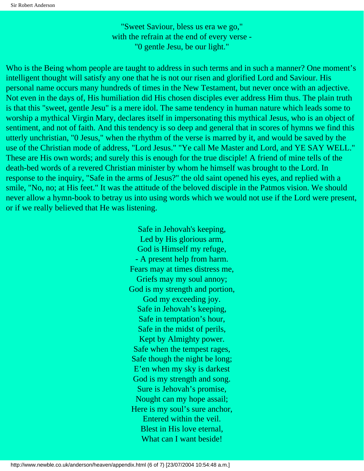"Sweet Saviour, bless us era we go," with the refrain at the end of every verse - "0 gentle Jesu, be our light."

Who is the Being whom people are taught to address in such terms and in such a manner? One moment's intelligent thought will satisfy any one that he is not our risen and glorified Lord and Saviour. His personal name occurs many hundreds of times in the New Testament, but never once with an adjective. Not even in the days of, His humiliation did His chosen disciples ever address Him thus. The plain truth is that this "sweet, gentle Jesu" is a mere idol. The same tendency in human nature which leads some to worship a mythical Virgin Mary, declares itself in impersonating this mythical Jesus, who is an object of sentiment, and not of faith. And this tendency is so deep and general that in scores of hymns we find this utterly unchristian, "0 Jesus," when the rhythm of the verse is marred by it, and would be saved by the use of the Christian mode of address, "Lord Jesus." "Ye call Me Master and Lord, and YE SAY WELL." These are His own words; and surely this is enough for the true disciple! A friend of mine tells of the death-bed words of a revered Christian minister by whom he himself was brought to the Lord. In response to the inquiry, "Safe in the arms of Jesus?" the old saint opened his eyes, and replied with a smile, "No, no; at His feet." It was the attitude of the beloved disciple in the Patmos vision. We should never allow a hymn-book to betray us into using words which we would not use if the Lord were present, or if we really believed that He was listening.

> Safe in Jehovah's keeping, Led by His glorious arm, God is Himself my refuge, - A present help from harm. Fears may at times distress me, Griefs may my soul annoy; God is my strength and portion, God my exceeding joy. Safe in Jehovah's keeping, Safe in temptation's hour, Safe in the midst of perils, Kept by Almighty power. Safe when the tempest rages, Safe though the night be long; E'en when my sky is darkest God is my strength and song. Sure is Jehovah's promise, Nought can my hope assail; Here is my soul's sure anchor, Entered within the veil. Blest in His love eternal, What can I want beside!